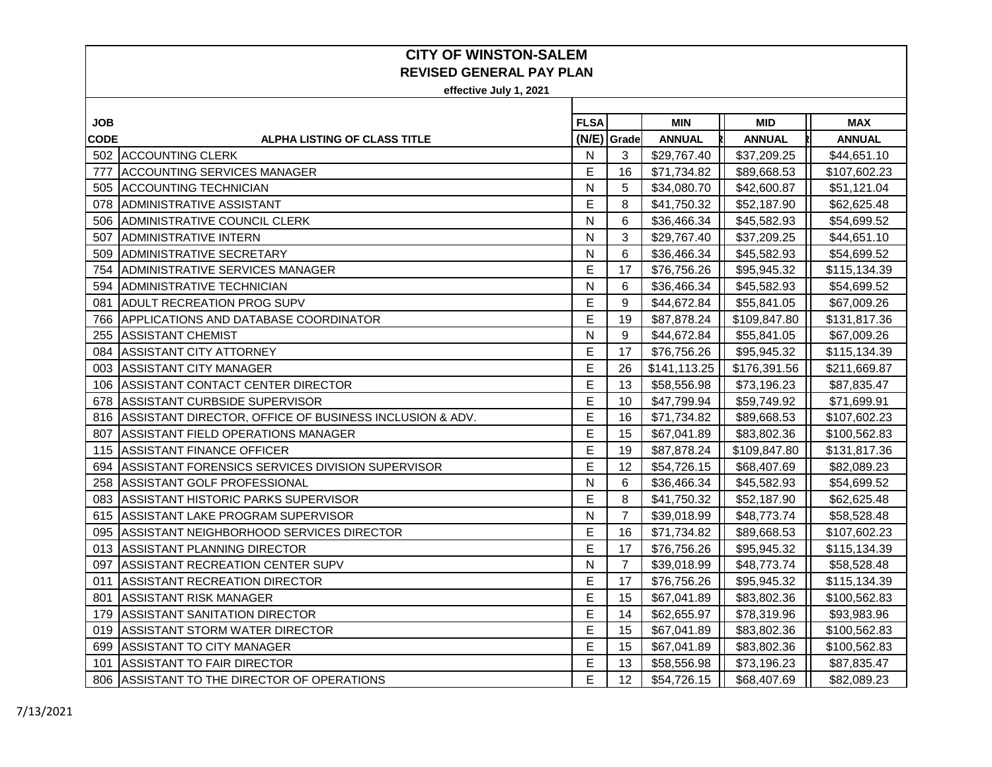| JOB.        |                                                         | <b>FLSA</b>  |                | <b>MIN</b>    | <b>MID</b>    | <b>MAX</b>    |
|-------------|---------------------------------------------------------|--------------|----------------|---------------|---------------|---------------|
| <b>CODE</b> | <b>ALPHA LISTING OF CLASS TITLE</b>                     |              | (N/E) Grade    | <b>ANNUAL</b> | <b>ANNUAL</b> | <b>ANNUAL</b> |
|             | 502 ACCOUNTING CLERK                                    | N            | 3              | \$29,767.40   | \$37,209.25   | \$44,651.10   |
| 777         | <b>ACCOUNTING SERVICES MANAGER</b>                      | Е            | 16             | \$71,734.82   | \$89,668.53   | \$107,602.23  |
| 505         | <b>ACCOUNTING TECHNICIAN</b>                            | N            | 5              | \$34,080.70   | \$42,600.87   | \$51,121.04   |
| 078         | ADMINISTRATIVE ASSISTANT                                | E            | 8              | \$41,750.32   | \$52,187.90   | \$62,625.48   |
| 506         | ADMINISTRATIVE COUNCIL CLERK                            | N            | 6              | \$36,466.34   | \$45,582.93   | \$54,699.52   |
| 507         | ADMINISTRATIVE INTERN                                   | N            | 3              | \$29,767.40   | \$37,209.25   | \$44,651.10   |
| 509         | <b>ADMINISTRATIVE SECRETARY</b>                         | N            | 6              | \$36,466.34   | \$45,582.93   | \$54,699.52   |
| 754         | ADMINISTRATIVE SERVICES MANAGER                         | Е            | 17             | \$76,756.26   | \$95,945.32   | \$115,134.39  |
| 594         | IADMINISTRATIVE TECHNICIAN                              | N            | 6              | \$36,466.34   | \$45,582.93   | \$54,699.52   |
| 081         | <b>ADULT RECREATION PROG SUPV</b>                       | E            | 9              | \$44,672.84   | \$55,841.05   | \$67,009.26   |
| 766         | IAPPLICATIONS AND DATABASE COORDINATOR                  | E            | 19             | \$87,878.24   | \$109,847.80  | \$131,817.36  |
| 255         | <b>ASSISTANT CHEMIST</b>                                | N            | 9              | \$44,672.84   | \$55,841.05   | \$67,009.26   |
| 084         | <b>ASSISTANT CITY ATTORNEY</b>                          | E            | 17             | \$76,756.26   | \$95,945.32   | \$115,134.39  |
| 003         | <b>ASSISTANT CITY MANAGER</b>                           | E            | 26             | \$141,113.25  | \$176,391.56  | \$211,669.87  |
| 106         | ASSISTANT CONTACT CENTER DIRECTOR                       | Е            | 13             | \$58,556.98   | \$73,196.23   | \$87,835.47   |
| 678         | ASSISTANT CURBSIDE SUPERVISOR                           | E            | 10             | \$47,799.94   | \$59,749.92   | \$71,699.91   |
| 816         | ASSISTANT DIRECTOR, OFFICE OF BUSINESS INCLUSION & ADV. | E            | 16             | \$71,734.82   | \$89,668.53   | \$107,602.23  |
| 807         | ASSISTANT FIELD OPERATIONS MANAGER                      | E            | 15             | \$67,041.89   | \$83,802.36   | \$100,562.83  |
| 115         | <b>IASSISTANT FINANCE OFFICER</b>                       | E            | 19             | \$87,878.24   | \$109,847.80  | \$131,817.36  |
| 694         | ASSISTANT FORENSICS SERVICES DIVISION SUPERVISOR        | E            | 12             | \$54,726.15   | \$68,407.69   | \$82,089.23   |
| 258         | ASSISTANT GOLF PROFESSIONAL                             | N            | 6              | \$36,466.34   | \$45,582.93   | \$54,699.52   |
| 083         | <b>ASSISTANT HISTORIC PARKS SUPERVISOR</b>              | E            | 8              | \$41,750.32   | \$52,187.90   | \$62,625.48   |
| 615         | ASSISTANT LAKE PROGRAM SUPERVISOR                       | $\mathsf{N}$ | $\overline{7}$ | \$39,018.99   | \$48,773.74   | \$58,528.48   |
| 095         | ASSISTANT NEIGHBORHOOD SERVICES DIRECTOR                | E            | 16             | \$71,734.82   | \$89,668.53   | \$107,602.23  |
| 013         | ASSISTANT PLANNING DIRECTOR                             | E            | 17             | \$76,756.26   | \$95,945.32   | \$115,134.39  |
| 097         | <b>ASSISTANT RECREATION CENTER SUPV</b>                 | $\mathsf{N}$ | $\overline{7}$ | \$39,018.99   | \$48,773.74   | \$58,528.48   |
| 011         | ASSISTANT RECREATION DIRECTOR                           | Е            | 17             | \$76,756.26   | \$95,945.32   | \$115,134.39  |
| 801         | <b>ASSISTANT RISK MANAGER</b>                           | E            | 15             | \$67,041.89   | \$83,802.36   | \$100,562.83  |
| 179         | <b>ASSISTANT SANITATION DIRECTOR</b>                    | E            | 14             | \$62,655.97   | \$78,319.96   | \$93,983.96   |
| 019         | ASSISTANT STORM WATER DIRECTOR                          | E            | 15             | \$67,041.89   | \$83,802.36   | \$100,562.83  |
| 699         | ASSISTANT TO CITY MANAGER                               | E            | 15             | \$67,041.89   | \$83,802.36   | \$100,562.83  |
| 101         | ASSISTANT TO FAIR DIRECTOR                              | E            | 13             | \$58,556.98   | \$73,196.23   | \$87,835.47   |
| 806         | ASSISTANT TO THE DIRECTOR OF OPERATIONS                 | E            | 12             | \$54,726.15   | \$68,407.69   | \$82,089.23   |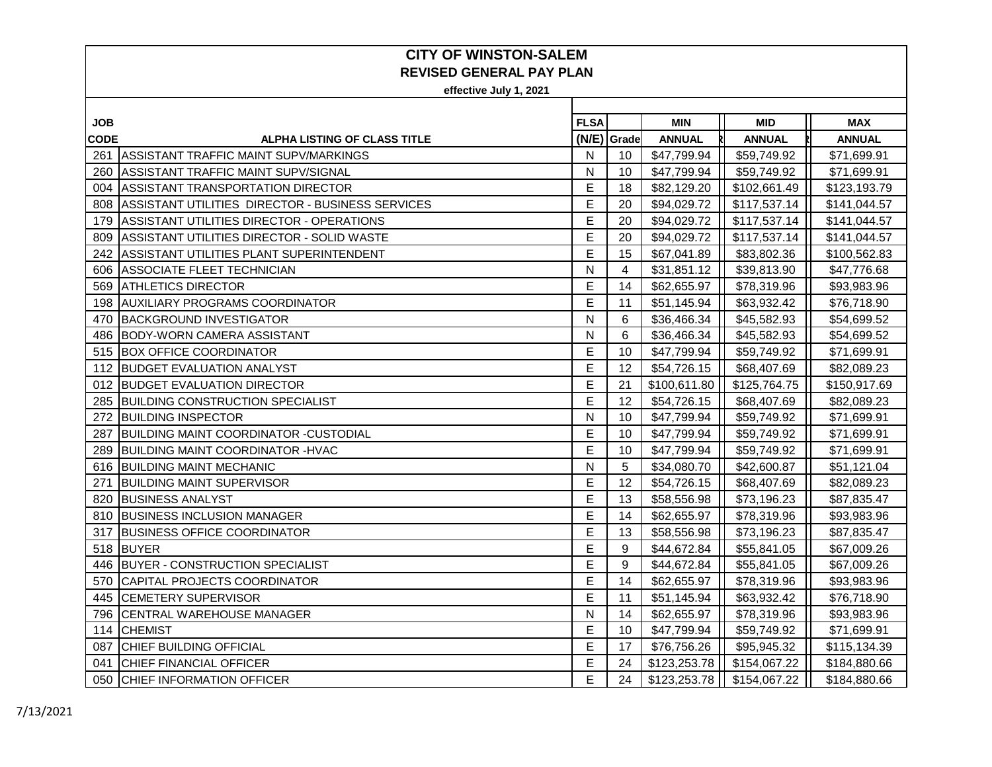| JOB         |                                                  | <b>FLSA</b>  |             | <b>MIN</b>    | <b>MID</b>    | <b>MAX</b>    |
|-------------|--------------------------------------------------|--------------|-------------|---------------|---------------|---------------|
| <b>CODE</b> | <b>ALPHA LISTING OF CLASS TITLE</b>              |              | (N/E) Grade | <b>ANNUAL</b> | <b>ANNUAL</b> | <b>ANNUAL</b> |
|             | 261 ASSISTANT TRAFFIC MAINT SUPV/MARKINGS        | N            | 10          | \$47,799.94   | \$59,749.92   | \$71,699.91   |
| 260         | ASSISTANT TRAFFIC MAINT SUPV/SIGNAL              | N            | 10          | \$47,799.94   | \$59,749.92   | \$71,699.91   |
| 004         | <b>ASSISTANT TRANSPORTATION DIRECTOR</b>         | E            | 18          | \$82,129.20   | \$102,661.49  | \$123,193.79  |
| 808         | ASSISTANT UTILITIES DIRECTOR - BUSINESS SERVICES | E            | 20          | \$94,029.72   | \$117,537.14  | \$141,044.57  |
| 179         | ASSISTANT UTILITIES DIRECTOR - OPERATIONS        | E            | 20          | \$94,029.72   | \$117,537.14  | \$141,044.57  |
| 809         | ASSISTANT UTILITIES DIRECTOR - SOLID WASTE       | E            | 20          | \$94,029.72   | \$117,537.14  | \$141,044.57  |
| 242         | ASSISTANT UTILITIES PLANT SUPERINTENDENT         | E            | 15          | \$67,041.89   | \$83,802.36   | \$100,562.83  |
| 606         | ASSOCIATE FLEET TECHNICIAN                       | N            | 4           | \$31,851.12   | \$39,813.90   | \$47,776.68   |
| 569         | <b>ATHLETICS DIRECTOR</b>                        | E            | 14          | \$62,655.97   | \$78,319.96   | \$93,983.96   |
| 198         | <b>AUXILIARY PROGRAMS COORDINATOR</b>            | E            | 11          | \$51,145.94   | \$63,932.42   | \$76,718.90   |
| 470         | <b>BACKGROUND INVESTIGATOR</b>                   | N            | 6           | \$36,466.34   | \$45,582.93   | \$54,699.52   |
| 486         | <b>BODY-WORN CAMERA ASSISTANT</b>                | N            | 6           | \$36,466.34   | \$45,582.93   | \$54,699.52   |
| 515         | <b>BOX OFFICE COORDINATOR</b>                    | E            | 10          | \$47,799.94   | \$59,749.92   | \$71,699.91   |
|             | 112 BUDGET EVALUATION ANALYST                    | E            | 12          | \$54,726.15   | \$68,407.69   | \$82,089.23   |
|             | 012 BUDGET EVALUATION DIRECTOR                   | E            | 21          | \$100,611.80  | \$125,764.75  | \$150,917.69  |
| 285         | <b>BUILDING CONSTRUCTION SPECIALIST</b>          | E            | 12          | \$54,726.15   | \$68,407.69   | \$82,089.23   |
| 272         | <b>BUILDING INSPECTOR</b>                        | $\mathsf{N}$ | 10          | \$47,799.94   | \$59,749.92   | \$71,699.91   |
|             | 287 BUILDING MAINT COORDINATOR - CUSTODIAL       | E            | 10          | \$47,799.94   | \$59,749.92   | \$71,699.91   |
| 289         | <b>BUILDING MAINT COORDINATOR - HVAC</b>         | E            | 10          | \$47,799.94   | \$59,749.92   | \$71,699.91   |
|             | 616 BUILDING MAINT MECHANIC                      | N            | 5           | \$34,080.70   | \$42,600.87   | \$51,121.04   |
| 271         | <b>BUILDING MAINT SUPERVISOR</b>                 | E            | 12          | \$54,726.15   | \$68,407.69   | \$82,089.23   |
| 820         | <b>BUSINESS ANALYST</b>                          | E            | 13          | \$58,556.98   | \$73,196.23   | \$87,835.47   |
|             | 810 BUSINESS INCLUSION MANAGER                   | E            | 14          | \$62,655.97   | \$78,319.96   | \$93,983.96   |
| 317         | <b>BUSINESS OFFICE COORDINATOR</b>               | E            | 13          | \$58,556.98   | \$73,196.23   | \$87,835.47   |
|             | 518 BUYER                                        | E            | 9           | \$44,672.84   | \$55,841.05   | \$67,009.26   |
| 446         | BUYER - CONSTRUCTION SPECIALIST                  | E            | 9           | \$44,672.84   | \$55,841.05   | \$67,009.26   |
| 570         | CAPITAL PROJECTS COORDINATOR                     | E            | 14          | \$62,655.97   | \$78,319.96   | \$93,983.96   |
| 445         | <b>CEMETERY SUPERVISOR</b>                       | E            | 11          | \$51,145.94   | \$63,932.42   | \$76,718.90   |
| 796         | <b>CENTRAL WAREHOUSE MANAGER</b>                 | N            | 14          | \$62,655.97   | \$78,319.96   | \$93,983.96   |
| 114         | <b>CHEMIST</b>                                   | E            | 10          | \$47,799.94   | \$59,749.92   | \$71,699.91   |
| 087         | CHIEF BUILDING OFFICIAL                          | E            | 17          | \$76,756.26   | \$95,945.32   | \$115,134.39  |
| 041         | <b>CHIEF FINANCIAL OFFICER</b>                   | E            | 24          | \$123,253.78  | \$154,067.22  | \$184,880.66  |
|             | 050 CHIEF INFORMATION OFFICER                    | E            | 24          | \$123,253.78  | \$154,067.22  | \$184,880.66  |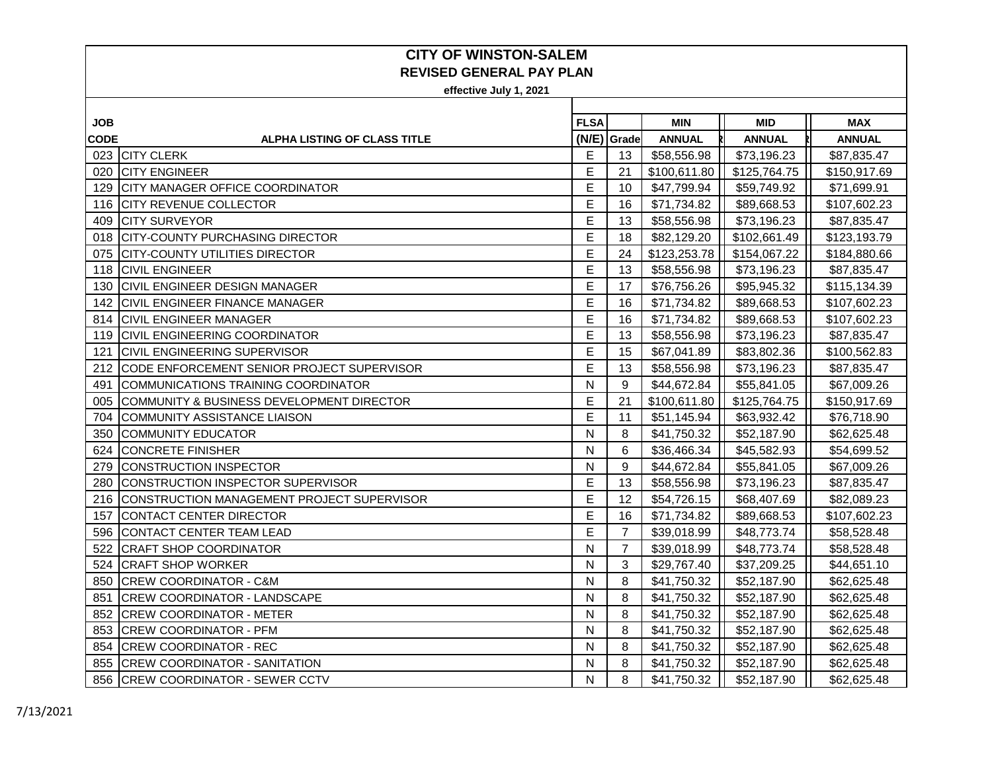| <b>JOB</b>  |                                            | <b>FLSA</b> |                | <b>MIN</b>    | <b>MID</b>    | <b>MAX</b>    |
|-------------|--------------------------------------------|-------------|----------------|---------------|---------------|---------------|
| <b>CODE</b> | <b>ALPHA LISTING OF CLASS TITLE</b>        | (N/E)       | Grade          | <b>ANNUAL</b> | <b>ANNUAL</b> | <b>ANNUAL</b> |
|             | 023 CITY CLERK                             | Е           | 13             | \$58,556.98   | \$73,196.23   | \$87,835.47   |
| 020         | <b>CITY ENGINEER</b>                       | Е           | 21             | \$100,611.80  | \$125,764.75  | \$150,917.69  |
| 129         | <b>CITY MANAGER OFFICE COORDINATOR</b>     | E           | 10             | \$47,799.94   | \$59,749.92   | \$71,699.91   |
|             | 116 CITY REVENUE COLLECTOR                 | E           | 16             | \$71,734.82   | \$89,668.53   | \$107,602.23  |
| 409         | <b>CITY SURVEYOR</b>                       | E           | 13             | \$58,556.98   | \$73,196.23   | \$87,835.47   |
|             | 018 CITY-COUNTY PURCHASING DIRECTOR        | E           | 18             | \$82,129.20   | \$102,661.49  | \$123,193.79  |
| 075         | <b>CITY-COUNTY UTILITIES DIRECTOR</b>      | E           | 24             | \$123,253.78  | \$154,067.22  | \$184,880.66  |
|             | 118 CIVIL ENGINEER                         | E           | 13             | \$58,556.98   | \$73,196.23   | \$87,835.47   |
| 130         | <b>CIVIL ENGINEER DESIGN MANAGER</b>       | E           | 17             | \$76,756.26   | \$95,945.32   | \$115,134.39  |
| 142         | <b>CIVIL ENGINEER FINANCE MANAGER</b>      | E           | 16             | \$71,734.82   | \$89,668.53   | \$107,602.23  |
| 814         | <b>CIVIL ENGINEER MANAGER</b>              | E           | 16             | \$71,734.82   | \$89,668.53   | \$107,602.23  |
| 119         | <b>CIVIL ENGINEERING COORDINATOR</b>       | E           | 13             | \$58,556.98   | \$73,196.23   | \$87,835.47   |
| 121         | <b>ICIVIL ENGINEERING SUPERVISOR</b>       | E           | 15             | \$67,041.89   | \$83,802.36   | \$100,562.83  |
| 212         | CODE ENFORCEMENT SENIOR PROJECT SUPERVISOR | E           | 13             | \$58,556.98   | \$73,196.23   | \$87,835.47   |
| 491         | COMMUNICATIONS TRAINING COORDINATOR        | N           | 9              | \$44,672.84   | \$55,841.05   | \$67,009.26   |
| 005         | COMMUNITY & BUSINESS DEVELOPMENT DIRECTOR  | Е           | 21             | \$100,611.80  | \$125,764.75  | \$150,917.69  |
| 704         | COMMUNITY ASSISTANCE LIAISON               | E           | 11             | \$51,145.94   | \$63,932.42   | \$76,718.90   |
| 350         | <b>COMMUNITY EDUCATOR</b>                  | N           | 8              | \$41,750.32   | \$52,187.90   | \$62,625.48   |
| 624         | <b>CONCRETE FINISHER</b>                   | N           | 6              | \$36,466.34   | \$45,582.93   | \$54,699.52   |
| 279         | CONSTRUCTION INSPECTOR                     | N           | 9              | \$44,672.84   | \$55,841.05   | \$67,009.26   |
| 280         | CONSTRUCTION INSPECTOR SUPERVISOR          | E           | 13             | \$58,556.98   | \$73,196.23   | \$87,835.47   |
| 216         | CONSTRUCTION MANAGEMENT PROJECT SUPERVISOR | Е           | 12             | \$54,726.15   | \$68,407.69   | \$82,089.23   |
| 157         | CONTACT CENTER DIRECTOR                    | E           | 16             | \$71,734.82   | \$89,668.53   | \$107,602.23  |
| 596         | CONTACT CENTER TEAM LEAD                   | E           | $\overline{7}$ | \$39,018.99   | \$48,773.74   | \$58,528.48   |
| 522         | <b>CRAFT SHOP COORDINATOR</b>              | N           | $\overline{7}$ | \$39,018.99   | \$48,773.74   | \$58,528.48   |
| 524         | <b>CRAFT SHOP WORKER</b>                   | N           | 3              | \$29,767.40   | \$37,209.25   | \$44,651.10   |
| 850         | <b>CREW COORDINATOR - C&amp;M</b>          | N           | 8              | \$41,750.32   | \$52,187.90   | \$62,625.48   |
| 851         | <b>CREW COORDINATOR - LANDSCAPE</b>        | N           | 8              | \$41,750.32   | \$52,187.90   | \$62,625.48   |
| 852         | <b>CREW COORDINATOR - METER</b>            | N           | 8              | \$41,750.32   | \$52,187.90   | \$62,625.48   |
| 853         | <b>CREW COORDINATOR - PFM</b>              | N           | 8              | \$41,750.32   | \$52,187.90   | \$62,625.48   |
| 854         | <b>CREW COORDINATOR - REC</b>              | N           | 8              | \$41,750.32   | \$52,187.90   | \$62,625.48   |
| 855         | <b>CREW COORDINATOR - SANITATION</b>       | N           | 8              | \$41,750.32   | \$52,187.90   | \$62,625.48   |
|             | 856 CREW COORDINATOR - SEWER CCTV          | N           | 8              | \$41,750.32   | \$52,187.90   | \$62,625.48   |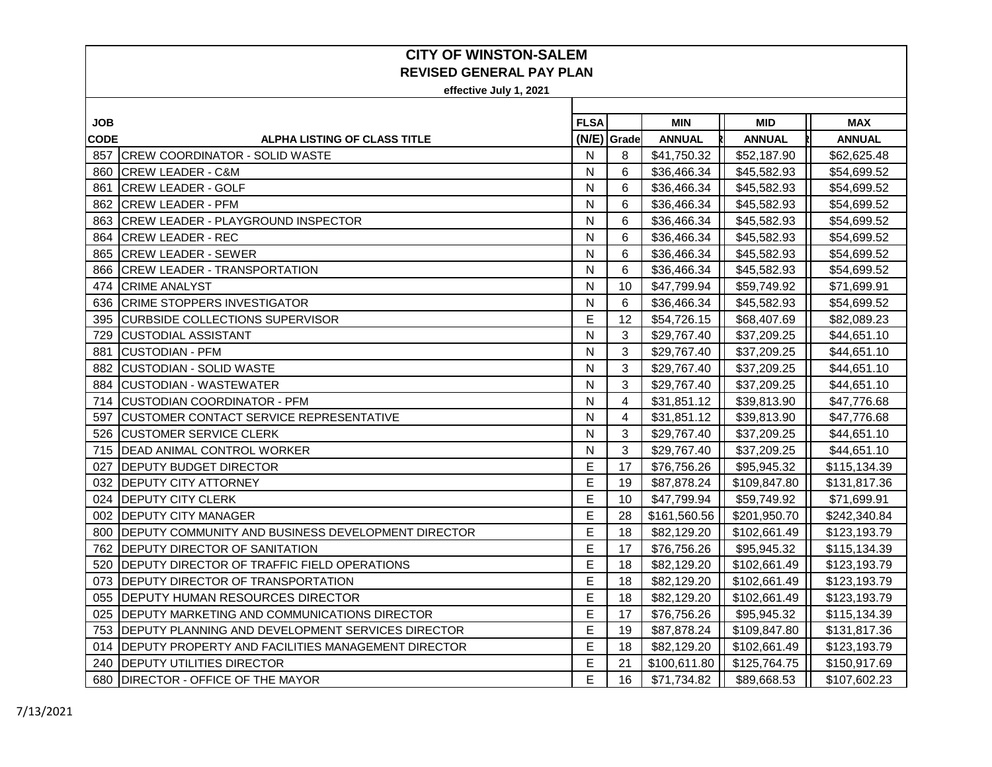| <b>JOB</b>  |                                                           | <b>FLSA</b> |       | <b>MIN</b>    | <b>MID</b>    | <b>MAX</b>    |
|-------------|-----------------------------------------------------------|-------------|-------|---------------|---------------|---------------|
| <b>CODE</b> | <b>ALPHA LISTING OF CLASS TITLE</b>                       | (N/E)       | Grade | <b>ANNUAL</b> | <b>ANNUAL</b> | <b>ANNUAL</b> |
|             | 857 CREW COORDINATOR - SOLID WASTE                        | N           | 8     | \$41,750.32   | \$52,187.90   | \$62,625.48   |
| 860         | <b>CREW LEADER - C&amp;M</b>                              | N           | 6     | \$36,466.34   | \$45,582.93   | \$54,699.52   |
| 861         | <b>CREW LEADER - GOLF</b>                                 | N           | 6     | \$36,466.34   | \$45,582.93   | \$54,699.52   |
|             | 862 CREW LEADER - PFM                                     | N           | 6     | \$36,466.34   | \$45,582.93   | \$54,699.52   |
| 863         | <b>CREW LEADER - PLAYGROUND INSPECTOR</b>                 | N           | 6     | \$36,466.34   | \$45,582.93   | \$54,699.52   |
| 864         | <b>CREW LEADER - REC</b>                                  | N           | 6     | \$36,466.34   | \$45,582.93   | \$54,699.52   |
| 865         | <b>CREW LEADER - SEWER</b>                                | N           | 6     | \$36,466.34   | \$45,582.93   | \$54,699.52   |
|             | 866 CREW LEADER - TRANSPORTATION                          | N           | 6     | \$36,466.34   | \$45,582.93   | \$54,699.52   |
| 474         | <b>CRIME ANALYST</b>                                      | N           | 10    | \$47,799.94   | \$59,749.92   | \$71,699.91   |
| 636         | <b>CRIME STOPPERS INVESTIGATOR</b>                        | N           | 6     | \$36,466.34   | \$45,582.93   | \$54,699.52   |
| 395         | <b>CURBSIDE COLLECTIONS SUPERVISOR</b>                    | Е           | 12    | \$54,726.15   | \$68,407.69   | \$82,089.23   |
| 729         | <b>CUSTODIAL ASSISTANT</b>                                | N           | 3     | \$29,767.40   | \$37,209.25   | \$44,651.10   |
| 881         | <b>CUSTODIAN - PFM</b>                                    | N           | 3     | \$29,767.40   | \$37,209.25   | \$44,651.10   |
| 882         | <b>CUSTODIAN - SOLID WASTE</b>                            | N           | 3     | \$29,767.40   | \$37,209.25   | \$44,651.10   |
| 884         | <b>CUSTODIAN - WASTEWATER</b>                             | N           | 3     | \$29,767.40   | \$37,209.25   | \$44,651.10   |
| 714         | <b>CUSTODIAN COORDINATOR - PFM</b>                        | N           | 4     | \$31,851.12   | \$39,813.90   | \$47,776.68   |
| 597         | <b>CUSTOMER CONTACT SERVICE REPRESENTATIVE</b>            | N           | 4     | \$31,851.12   | \$39,813.90   | \$47,776.68   |
| 526         | <b>CUSTOMER SERVICE CLERK</b>                             | N           | 3     | \$29,767.40   | \$37,209.25   | \$44,651.10   |
|             | 715   DEAD ANIMAL CONTROL WORKER                          | N           | 3     | \$29,767.40   | \$37,209.25   | \$44,651.10   |
| 027         | <b>DEPUTY BUDGET DIRECTOR</b>                             | E           | 17    | \$76,756.26   | \$95,945.32   | \$115,134.39  |
|             | 032 DEPUTY CITY ATTORNEY                                  | E           | 19    | \$87,878.24   | \$109,847.80  | \$131,817.36  |
| 024         | <b>IDEPUTY CITY CLERK</b>                                 | E           | 10    | \$47,799.94   | \$59,749.92   | \$71,699.91   |
|             | 002 DEPUTY CITY MANAGER                                   | E           | 28    | \$161,560.56  | \$201,950.70  | \$242,340.84  |
| 800         | DEPUTY COMMUNITY AND BUSINESS DEVELOPMENT DIRECTOR        | E           | 18    | \$82,129.20   | \$102,661.49  | \$123,193.79  |
| 762         | <b>DEPUTY DIRECTOR OF SANITATION</b>                      | E           | 17    | \$76,756.26   | \$95,945.32   | \$115,134.39  |
| 520         | <b>DEPUTY DIRECTOR OF TRAFFIC FIELD OPERATIONS</b>        | E           | 18    | \$82,129.20   | \$102,661.49  | \$123,193.79  |
| 073         | <b>IDEPUTY DIRECTOR OF TRANSPORTATION</b>                 | E           | 18    | \$82,129.20   | \$102,661.49  | \$123,193.79  |
| 055         | <b>IDEPUTY HUMAN RESOURCES DIRECTOR</b>                   | E           | 18    | \$82,129.20   | \$102,661.49  | \$123,193.79  |
| 025         | DEPUTY MARKETING AND COMMUNICATIONS DIRECTOR              | Е           | 17    | \$76,756.26   | \$95,945.32   | \$115,134.39  |
| 753         | <b>DEPUTY PLANNING AND DEVELOPMENT SERVICES DIRECTOR</b>  | E           | 19    | \$87,878.24   | \$109,847.80  | \$131,817.36  |
| 014         | <b>DEPUTY PROPERTY AND FACILITIES MANAGEMENT DIRECTOR</b> | E           | 18    | \$82,129.20   | \$102,661.49  | \$123,193.79  |
| 240         | <b>DEPUTY UTILITIES DIRECTOR</b>                          | Е           | 21    | \$100,611.80  | \$125,764.75  | \$150,917.69  |
| 680         | <b>DIRECTOR - OFFICE OF THE MAYOR</b>                     | E           | 16    | \$71,734.82   | \$89,668.53   | \$107,602.23  |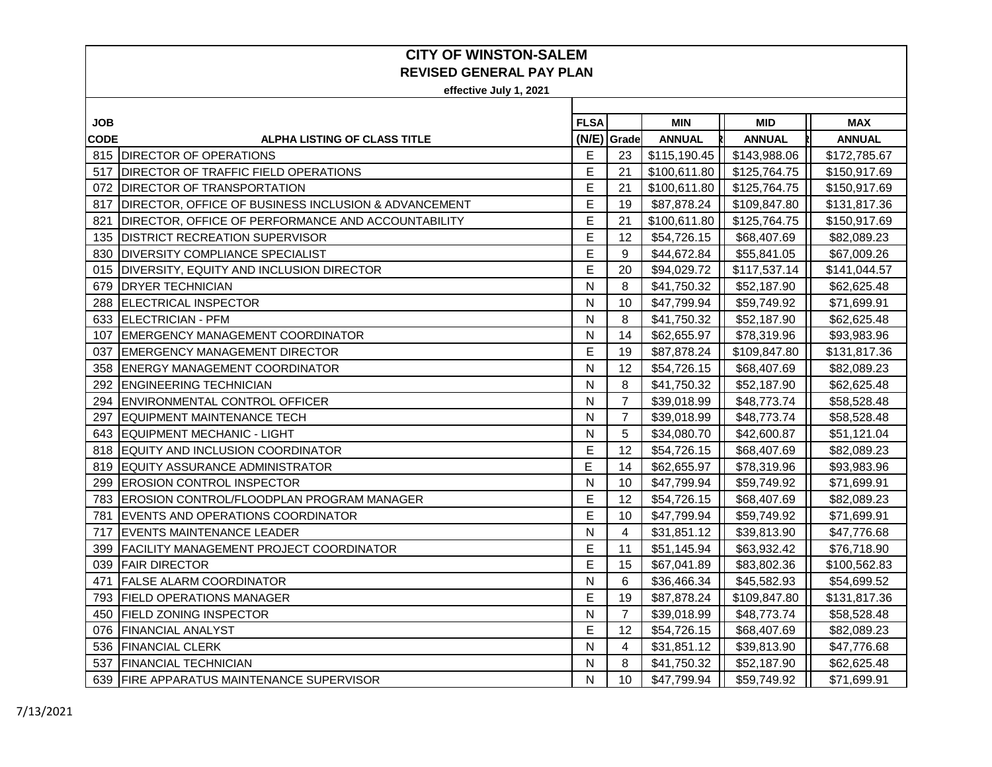| <b>JOB</b>  |                                                           | <b>FLSA</b> |                | <b>MIN</b>    | <b>MID</b>    | <b>MAX</b>    |
|-------------|-----------------------------------------------------------|-------------|----------------|---------------|---------------|---------------|
| <b>CODE</b> | <b>ALPHA LISTING OF CLASS TITLE</b>                       |             | (N/E) Grade    | <b>ANNUAL</b> | <b>ANNUAL</b> | <b>ANNUAL</b> |
|             | 815 DIRECTOR OF OPERATIONS                                | E           | 23             | \$115,190.45  | \$143,988.06  | \$172,785.67  |
| 517         | <b>DIRECTOR OF TRAFFIC FIELD OPERATIONS</b>               | E           | 21             | \$100,611.80  | \$125,764.75  | \$150,917.69  |
| 072         | <b>DIRECTOR OF TRANSPORTATION</b>                         | E           | 21             | \$100,611.80  | \$125,764.75  | \$150,917.69  |
| 817         | DIRECTOR, OFFICE OF BUSINESS INCLUSION & ADVANCEMENT      | E           | 19             | \$87,878.24   | \$109,847.80  | \$131,817.36  |
| 821         | <b>DIRECTOR, OFFICE OF PERFORMANCE AND ACCOUNTABILITY</b> | E           | 21             | \$100,611.80  | \$125,764.75  | \$150,917.69  |
|             | 135   DISTRICT RECREATION SUPERVISOR                      | E           | 12             | \$54,726.15   | \$68,407.69   | \$82,089.23   |
| 830         | <b>DIVERSITY COMPLIANCE SPECIALIST</b>                    | E           | 9              | \$44,672.84   | \$55,841.05   | \$67,009.26   |
|             | 015 DIVERSITY, EQUITY AND INCLUSION DIRECTOR              | E           | 20             | \$94,029.72   | \$117,537.14  | \$141,044.57  |
| 679         | <b>DRYER TECHNICIAN</b>                                   | N           | 8              | \$41,750.32   | \$52,187.90   | \$62,625.48   |
| 288         | <b>ELECTRICAL INSPECTOR</b>                               | N           | 10             | \$47,799.94   | \$59,749.92   | \$71,699.91   |
|             | 633 ELECTRICIAN - PFM                                     | N           | 8              | \$41,750.32   | \$52,187.90   | \$62,625.48   |
| 107         | EMERGENCY MANAGEMENT COORDINATOR                          | N           | 14             | \$62,655.97   | \$78,319.96   | \$93,983.96   |
| 037         | <b>EMERGENCY MANAGEMENT DIRECTOR</b>                      | E           | 19             | \$87,878.24   | \$109,847.80  | \$131,817.36  |
|             | 358 ENERGY MANAGEMENT COORDINATOR                         | N           | 12             | \$54,726.15   | \$68,407.69   | \$82,089.23   |
| 292         | <b>ENGINEERING TECHNICIAN</b>                             | N           | 8              | \$41,750.32   | \$52,187.90   | \$62,625.48   |
| 294         | <b>ENVIRONMENTAL CONTROL OFFICER</b>                      | N           | $\overline{7}$ | \$39,018.99   | \$48,773.74   | \$58,528.48   |
| 297         | EQUIPMENT MAINTENANCE TECH                                | N           | $\overline{7}$ | \$39,018.99   | \$48,773.74   | \$58,528.48   |
|             | 643 EQUIPMENT MECHANIC - LIGHT                            | N           | 5              | \$34,080.70   | \$42,600.87   | \$51,121.04   |
|             | 818 EQUITY AND INCLUSION COORDINATOR                      | E           | 12             | \$54,726.15   | \$68,407.69   | \$82,089.23   |
|             | 819 EQUITY ASSURANCE ADMINISTRATOR                        | E           | 14             | \$62,655.97   | \$78,319.96   | \$93,983.96   |
| 299         | <b>EROSION CONTROL INSPECTOR</b>                          | N           | 10             | \$47,799.94   | \$59,749.92   | \$71,699.91   |
|             | 783 EROSION CONTROL/FLOODPLAN PROGRAM MANAGER             | E           | 12             | \$54,726.15   | \$68,407.69   | \$82,089.23   |
|             | 781 EVENTS AND OPERATIONS COORDINATOR                     | E           | 10             | \$47,799.94   | \$59,749.92   | \$71,699.91   |
| 717         | <b>EVENTS MAINTENANCE LEADER</b>                          | N           | 4              | \$31,851.12   | \$39,813.90   | \$47,776.68   |
| 399         | <b>FACILITY MANAGEMENT PROJECT COORDINATOR</b>            | E           | 11             | \$51,145.94   | \$63,932.42   | \$76,718.90   |
| 039         | <b>FAIR DIRECTOR</b>                                      | E           | 15             | \$67,041.89   | \$83,802.36   | \$100,562.83  |
| 471         | <b>FALSE ALARM COORDINATOR</b>                            | N           | 6              | \$36,466.34   | \$45,582.93   | \$54,699.52   |
|             | 793 FIELD OPERATIONS MANAGER                              | E           | 19             | \$87,878.24   | \$109,847.80  | \$131,817.36  |
| 450         | <b>FIELD ZONING INSPECTOR</b>                             | N           | $\overline{7}$ | \$39,018.99   | \$48,773.74   | \$58,528.48   |
|             | 076 FINANCIAL ANALYST                                     | E           | 12             | \$54,726.15   | \$68,407.69   | \$82,089.23   |
|             | 536 FINANCIAL CLERK                                       | N           | 4              | \$31,851.12   | \$39,813.90   | \$47,776.68   |
|             | 537 FINANCIAL TECHNICIAN                                  | N           | 8              | \$41,750.32   | \$52,187.90   | \$62,625.48   |
|             | 639 FIRE APPARATUS MAINTENANCE SUPERVISOR                 | N           | 10             | \$47,799.94   | \$59,749.92   | \$71,699.91   |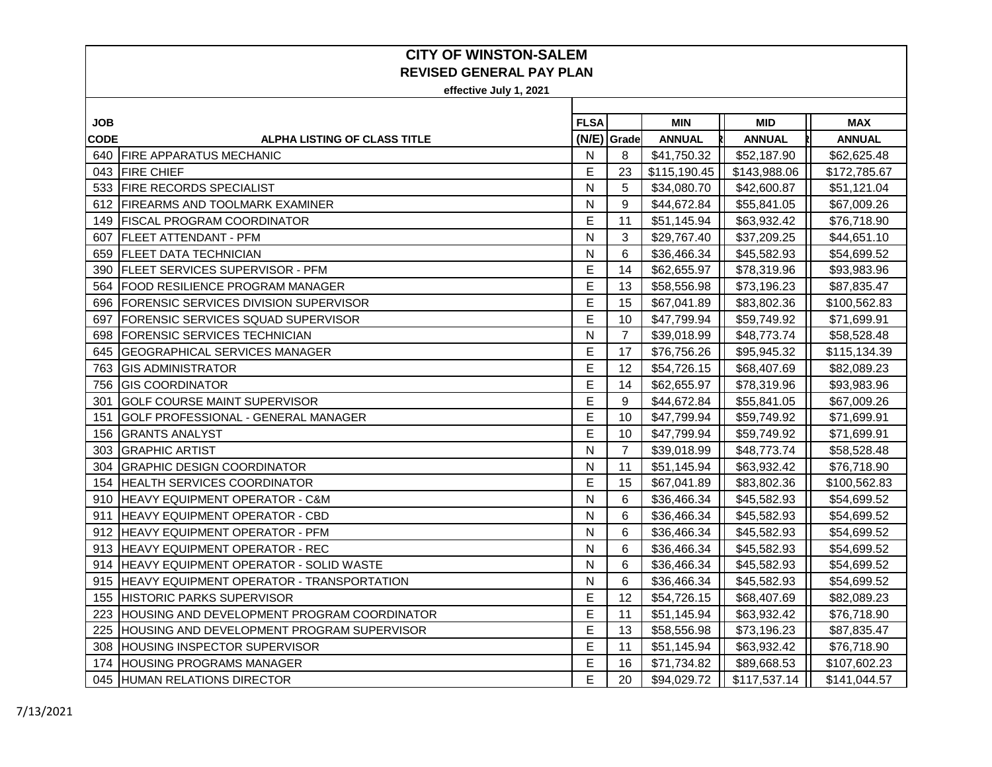| <b>JOB</b>  |                                               | <b>FLSA</b> |                | <b>MIN</b>    | <b>MID</b>    | <b>MAX</b>    |
|-------------|-----------------------------------------------|-------------|----------------|---------------|---------------|---------------|
| <b>CODE</b> | ALPHA LISTING OF CLASS TITLE                  |             | (N/E) Grade    | <b>ANNUAL</b> | <b>ANNUAL</b> | <b>ANNUAL</b> |
|             | 640 FIRE APPARATUS MECHANIC                   | N           | 8              | \$41,750.32   | \$52,187.90   | \$62,625.48   |
|             | 043 FIRE CHIEF                                | E           | 23             | \$115,190.45  | \$143,988.06  | \$172,785.67  |
|             | 533 FIRE RECORDS SPECIALIST                   | N           | 5              | \$34,080.70   | \$42,600.87   | \$51,121.04   |
|             | 612 FIREARMS AND TOOLMARK EXAMINER            | N           | 9              | \$44,672.84   | \$55,841.05   | \$67,009.26   |
| 149         | <b>IFISCAL PROGRAM COORDINATOR</b>            | E           | 11             | \$51,145.94   | \$63,932.42   | \$76,718.90   |
|             | 607   FLEET ATTENDANT - PFM                   | N           | 3              | \$29,767.40   | \$37,209.25   | \$44,651.10   |
| 659         | <b>FLEET DATA TECHNICIAN</b>                  | N           | 6              | \$36,466.34   | \$45,582.93   | \$54,699.52   |
| 390         | <b>IFLEET SERVICES SUPERVISOR - PFM</b>       | E           | 14             | \$62,655.97   | \$78,319.96   | \$93,983.96   |
| 564         | <b>IFOOD RESILIENCE PROGRAM MANAGER</b>       | Е           | 13             | \$58,556.98   | \$73,196.23   | \$87,835.47   |
| 696         | <b>FORENSIC SERVICES DIVISION SUPERVISOR</b>  | E           | 15             | \$67,041.89   | \$83,802.36   | \$100,562.83  |
| 697         | IFORENSIC SERVICES SQUAD SUPERVISOR           | E           | 10             | \$47,799.94   | \$59,749.92   | \$71,699.91   |
| 698         | <b>FORENSIC SERVICES TECHNICIAN</b>           | N           | $\overline{7}$ | \$39,018.99   | \$48,773.74   | \$58,528.48   |
| 645         | <b>GEOGRAPHICAL SERVICES MANAGER</b>          | E           | 17             | \$76,756.26   | \$95,945.32   | \$115,134.39  |
| 763         | <b>GIS ADMINISTRATOR</b>                      | Е           | 12             | \$54,726.15   | \$68,407.69   | \$82,089.23   |
| 756         | <b>GIS COORDINATOR</b>                        | Е           | 14             | \$62,655.97   | \$78,319.96   | \$93,983.96   |
| 301         | <b>GOLF COURSE MAINT SUPERVISOR</b>           | E           | 9              | \$44,672.84   | \$55,841.05   | \$67,009.26   |
| 151         | GOLF PROFESSIONAL - GENERAL MANAGER           | E           | 10             | \$47,799.94   | \$59,749.92   | \$71,699.91   |
| 156         | <b>GRANTS ANALYST</b>                         | E           | 10             | \$47,799.94   | \$59,749.92   | \$71,699.91   |
| 303         | <b>GRAPHIC ARTIST</b>                         | N           | $\overline{7}$ | \$39,018.99   | \$48,773.74   | \$58,528.48   |
| 304         | <b>GRAPHIC DESIGN COORDINATOR</b>             | N           | 11             | \$51,145.94   | \$63,932.42   | \$76,718.90   |
| 154         | <b>HEALTH SERVICES COORDINATOR</b>            | Е           | 15             | \$67,041.89   | \$83,802.36   | \$100,562.83  |
| 910         | <b>HEAVY EQUIPMENT OPERATOR - C&amp;M</b>     | N           | 6              | \$36,466.34   | \$45,582.93   | \$54,699.52   |
| 911         | <b>HEAVY EQUIPMENT OPERATOR - CBD</b>         | N           | 6              | \$36,466.34   | \$45,582.93   | \$54,699.52   |
| 912         | <b>IHEAVY EQUIPMENT OPERATOR - PFM</b>        | N           | 6              | \$36,466.34   | \$45,582.93   | \$54,699.52   |
| 913         | <b>HEAVY EQUIPMENT OPERATOR - REC</b>         | N           | 6              | \$36,466.34   | \$45,582.93   | \$54,699.52   |
| 914         | <b>HEAVY EQUIPMENT OPERATOR - SOLID WASTE</b> | N           | 6              | \$36,466.34   | \$45,582.93   | \$54,699.52   |
|             | 915 HEAVY EQUIPMENT OPERATOR - TRANSPORTATION | N           | 6              | \$36,466.34   | \$45,582.93   | \$54,699.52   |
| 155         | <b>HISTORIC PARKS SUPERVISOR</b>              | Е           | 12             | \$54,726.15   | \$68,407.69   | \$82,089.23   |
| 223         | HOUSING AND DEVELOPMENT PROGRAM COORDINATOR   | E           | 11             | \$51,145.94   | \$63,932.42   | \$76,718.90   |
| 225         | HOUSING AND DEVELOPMENT PROGRAM SUPERVISOR    | E           | 13             | \$58,556.98   | \$73,196.23   | \$87,835.47   |
| 308         | HOUSING INSPECTOR SUPERVISOR                  | E           | 11             | \$51,145.94   | \$63,932.42   | \$76,718.90   |
| 174         | <b>HOUSING PROGRAMS MANAGER</b>               | E           | 16             | \$71,734.82   | \$89,668.53   | \$107,602.23  |
|             | 045 HUMAN RELATIONS DIRECTOR                  | E           | 20             | \$94,029.72   | \$117,537.14  | \$141,044.57  |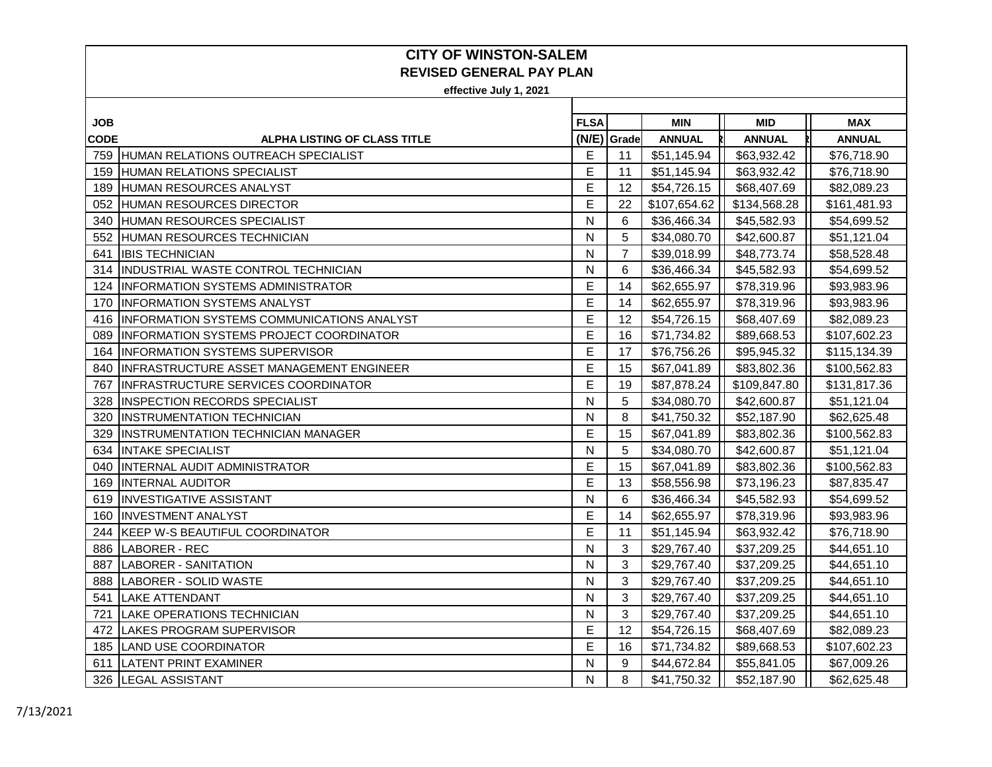| JOB         |                                                   | <b>FLSA</b> |                | <b>MIN</b>    | <b>MID</b>    | MAX           |
|-------------|---------------------------------------------------|-------------|----------------|---------------|---------------|---------------|
| <b>CODE</b> | <b>ALPHA LISTING OF CLASS TITLE</b>               |             | (N/E) Grade    | <b>ANNUAL</b> | <b>ANNUAL</b> | <b>ANNUAL</b> |
|             | 759 HUMAN RELATIONS OUTREACH SPECIALIST           | E           | 11             | \$51,145.94   | \$63,932.42   | \$76,718.90   |
| 159         | <b>HUMAN RELATIONS SPECIALIST</b>                 | E           | 11             | \$51,145.94   | \$63,932.42   | \$76,718.90   |
| 189         | HUMAN RESOURCES ANALYST                           | E           | 12             | \$54,726.15   | \$68,407.69   | \$82,089.23   |
| 052         | <b>HUMAN RESOURCES DIRECTOR</b>                   | E           | 22             | \$107,654.62  | \$134,568.28  | \$161,481.93  |
| 340         | HUMAN RESOURCES SPECIALIST                        | N           | 6              | \$36,466.34   | \$45,582.93   | \$54,699.52   |
|             | 552 HUMAN RESOURCES TECHNICIAN                    | N           | 5              | \$34,080.70   | \$42,600.87   | \$51,121.04   |
| 641         | <b>IBIS TECHNICIAN</b>                            | N           | $\overline{7}$ | \$39,018.99   | \$48,773.74   | \$58,528.48   |
| 314         | INDUSTRIAL WASTE CONTROL TECHNICIAN               | N           | 6              | \$36,466.34   | \$45,582.93   | \$54,699.52   |
| 124         | <b>INFORMATION SYSTEMS ADMINISTRATOR</b>          | Е           | 14             | \$62,655.97   | \$78,319.96   | \$93,983.96   |
| 170         | <b>INFORMATION SYSTEMS ANALYST</b>                | E           | 14             | \$62,655.97   | \$78,319.96   | \$93,983.96   |
| 416         | <b>INFORMATION SYSTEMS COMMUNICATIONS ANALYST</b> | E           | 12             | \$54,726.15   | \$68,407.69   | \$82,089.23   |
| 089         | IINFORMATION SYSTEMS PROJECT COORDINATOR          | E           | 16             | \$71,734.82   | \$89,668.53   | \$107,602.23  |
| 164         | <b>INFORMATION SYSTEMS SUPERVISOR</b>             | E           | 17             | \$76,756.26   | \$95,945.32   | \$115,134.39  |
| 840         | INFRASTRUCTURE ASSET MANAGEMENT ENGINEER          | E           | 15             | \$67,041.89   | \$83,802.36   | \$100,562.83  |
| 767         | <b>INFRASTRUCTURE SERVICES COORDINATOR</b>        | E           | 19             | \$87,878.24   | \$109,847.80  | \$131,817.36  |
| 328         | <b>INSPECTION RECORDS SPECIALIST</b>              | N           | 5              | \$34,080.70   | \$42,600.87   | \$51,121.04   |
| 320         | <b>INSTRUMENTATION TECHNICIAN</b>                 | N           | 8              | \$41,750.32   | \$52,187.90   | \$62,625.48   |
| 329         | <b>INSTRUMENTATION TECHNICIAN MANAGER</b>         | E           | 15             | \$67,041.89   | \$83,802.36   | \$100,562.83  |
| 634         | <b>INTAKE SPECIALIST</b>                          | N           | 5              | \$34,080.70   | \$42,600.87   | \$51,121.04   |
| 040         | INTERNAL AUDIT ADMINISTRATOR                      | E           | 15             | \$67,041.89   | \$83,802.36   | \$100,562.83  |
| 169         | <b>INTERNAL AUDITOR</b>                           | E           | 13             | \$58,556.98   | \$73,196.23   | \$87,835.47   |
| 619         | <b>INVESTIGATIVE ASSISTANT</b>                    | N           | 6              | \$36,466.34   | \$45,582.93   | \$54,699.52   |
| 160         | <b>INVESTMENT ANALYST</b>                         | E           | 14             | \$62,655.97   | \$78,319.96   | \$93,983.96   |
| 244         | KEEP W-S BEAUTIFUL COORDINATOR                    | E           | 11             | \$51,145.94   | \$63,932.42   | \$76,718.90   |
| 886         | <b>LABORER - REC</b>                              | N           | 3              | \$29,767.40   | \$37,209.25   | \$44,651.10   |
| 887         | <b>LABORER - SANITATION</b>                       | N           | 3              | \$29,767.40   | \$37,209.25   | \$44,651.10   |
|             | 888 LABORER - SOLID WASTE                         | N           | 3              | \$29,767.40   | \$37,209.25   | \$44,651.10   |
| 541         | <b>LAKE ATTENDANT</b>                             | N           | 3              | \$29,767.40   | \$37,209.25   | \$44,651.10   |
| 721         | <b>LAKE OPERATIONS TECHNICIAN</b>                 | N           | 3              | \$29,767.40   | \$37,209.25   | \$44,651.10   |
| 472         | <b>LAKES PROGRAM SUPERVISOR</b>                   | E           | 12             | \$54,726.15   | \$68,407.69   | \$82,089.23   |
|             | 185 LAND USE COORDINATOR                          | E           | 16             | \$71,734.82   | \$89,668.53   | \$107,602.23  |
| 611         | <b>LATENT PRINT EXAMINER</b>                      | N           | 9              | \$44,672.84   | \$55,841.05   | \$67,009.26   |
|             | 326   LEGAL ASSISTANT                             | N           | 8              | \$41,750.32   | \$52,187.90   | \$62,625.48   |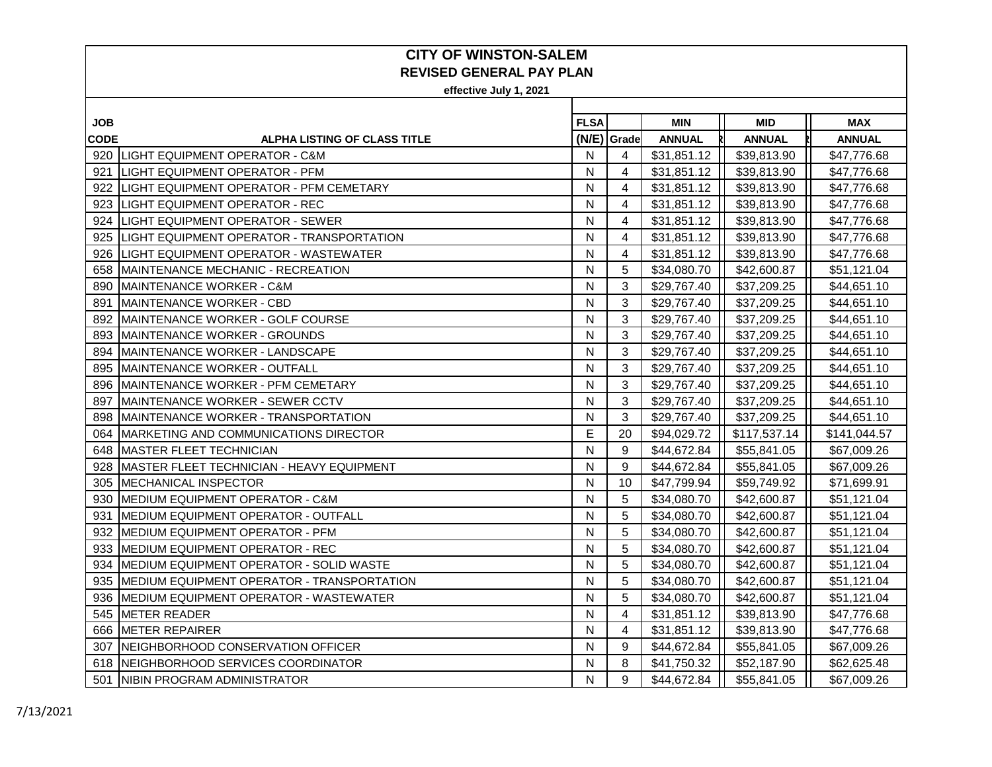| <b>JOB</b>  |                                                   | <b>FLSA</b> |             | <b>MIN</b>    | <b>MID</b>    | <b>MAX</b>    |
|-------------|---------------------------------------------------|-------------|-------------|---------------|---------------|---------------|
| <b>CODE</b> | <b>ALPHA LISTING OF CLASS TITLE</b>               |             | (N/E) Grade | <b>ANNUAL</b> | <b>ANNUAL</b> | <b>ANNUAL</b> |
| 920         | <b>LIGHT EQUIPMENT OPERATOR - C&amp;M</b>         | N           | 4           | \$31,851.12   | \$39,813.90   | \$47,776.68   |
| 921         | ILIGHT EQUIPMENT OPERATOR - PFM                   | N           | 4           | \$31,851.12   | \$39,813.90   | \$47,776.68   |
| 922         | LIGHT EQUIPMENT OPERATOR - PFM CEMETARY           | N           | 4           | \$31,851.12   | \$39,813.90   | \$47,776.68   |
| 923         | <b>LIGHT EQUIPMENT OPERATOR - REC</b>             | N           | 4           | \$31,851.12   | \$39,813.90   | \$47,776.68   |
| 924         | <b>LIGHT EQUIPMENT OPERATOR - SEWER</b>           | N           | 4           | \$31,851.12   | \$39,813.90   | \$47,776.68   |
| 925         | LIGHT EQUIPMENT OPERATOR - TRANSPORTATION         | N           | 4           | \$31,851.12   | \$39,813.90   | \$47,776.68   |
| 926         | LIGHT EQUIPMENT OPERATOR - WASTEWATER             | N           | 4           | \$31,851.12   | \$39,813.90   | \$47,776.68   |
|             | 658 IMAINTENANCE MECHANIC - RECREATION            | N           | 5           | \$34,080.70   | \$42,600.87   | \$51,121.04   |
| 890         | <b>IMAINTENANCE WORKER - C&amp;M</b>              | N           | 3           | \$29,767.40   | \$37,209.25   | \$44,651.10   |
| 891         | <b>IMAINTENANCE WORKER - CBD</b>                  | N           | 3           | \$29,767.40   | \$37,209.25   | \$44,651.10   |
| 892         | <b>IMAINTENANCE WORKER - GOLF COURSE</b>          | N           | 3           | \$29,767.40   | \$37,209.25   | \$44,651.10   |
| 893         | MAINTENANCE WORKER - GROUNDS                      | N           | 3           | \$29,767.40   | \$37,209.25   | \$44,651.10   |
| 894         | IMAINTENANCE WORKER - LANDSCAPE                   | N           | 3           | \$29,767.40   | \$37,209.25   | \$44,651.10   |
| 895         | <b>IMAINTENANCE WORKER - OUTFALL</b>              | N           | 3           | \$29,767.40   | \$37,209.25   | \$44,651.10   |
| 896         | <b>IMAINTENANCE WORKER - PFM CEMETARY</b>         | N           | 3           | \$29,767.40   | \$37,209.25   | \$44,651.10   |
| 897         | MAINTENANCE WORKER - SEWER CCTV                   | N           | 3           | \$29,767.40   | \$37,209.25   | \$44,651.10   |
| 898         | MAINTENANCE WORKER - TRANSPORTATION               | N           | 3           | \$29,767.40   | \$37,209.25   | \$44,651.10   |
| 064         | MARKETING AND COMMUNICATIONS DIRECTOR             | E           | 20          | \$94,029.72   | \$117,537.14  | \$141,044.57  |
| 648         | <b>MASTER FLEET TECHNICIAN</b>                    | N           | 9           | \$44,672.84   | \$55,841.05   | \$67,009.26   |
| 928         | MASTER FLEET TECHNICIAN - HEAVY EQUIPMENT         | N           | 9           | \$44,672.84   | \$55,841.05   | \$67,009.26   |
| 305         | MECHANICAL INSPECTOR                              | N           | 10          | \$47,799.94   | \$59,749.92   | \$71,699.91   |
| 930         | MEDIUM EQUIPMENT OPERATOR - C&M                   | N           | 5           | \$34,080.70   | \$42,600.87   | \$51,121.04   |
| 931         | <b>MEDIUM EQUIPMENT OPERATOR - OUTFALL</b>        | N           | 5           | \$34,080.70   | \$42,600.87   | \$51,121.04   |
| 932         | <b>MEDIUM EQUIPMENT OPERATOR - PFM</b>            | N           | 5           | \$34,080.70   | \$42,600.87   | \$51,121.04   |
| 933         | <b>MEDIUM EQUIPMENT OPERATOR - REC</b>            | N           | 5           | \$34,080.70   | \$42,600.87   | \$51,121.04   |
| 934         | IMEDIUM EQUIPMENT OPERATOR - SOLID WASTE          | N           | 5           | \$34,080.70   | \$42,600.87   | \$51,121.04   |
| 935         | <b>MEDIUM EQUIPMENT OPERATOR - TRANSPORTATION</b> | N           | 5           | \$34,080.70   | \$42,600.87   | \$51,121.04   |
| 936         | <b>MEDIUM EQUIPMENT OPERATOR - WASTEWATER</b>     | N           | 5           | \$34,080.70   | \$42,600.87   | \$51,121.04   |
|             | 545 METER READER                                  | N           | 4           | \$31,851.12   | \$39,813.90   | \$47,776.68   |
| 666         | METER REPAIRER                                    | N           | 4           | \$31,851.12   | \$39,813.90   | \$47,776.68   |
| 307         | NEIGHBORHOOD CONSERVATION OFFICER                 | N           | 9           | \$44,672.84   | \$55,841.05   | \$67,009.26   |
| 618         | NEIGHBORHOOD SERVICES COORDINATOR                 | N           | 8           | \$41,750.32   | \$52,187.90   | \$62,625.48   |
|             | 501 INIBIN PROGRAM ADMINISTRATOR                  | N           | 9           | \$44,672.84   | \$55,841.05   | \$67,009.26   |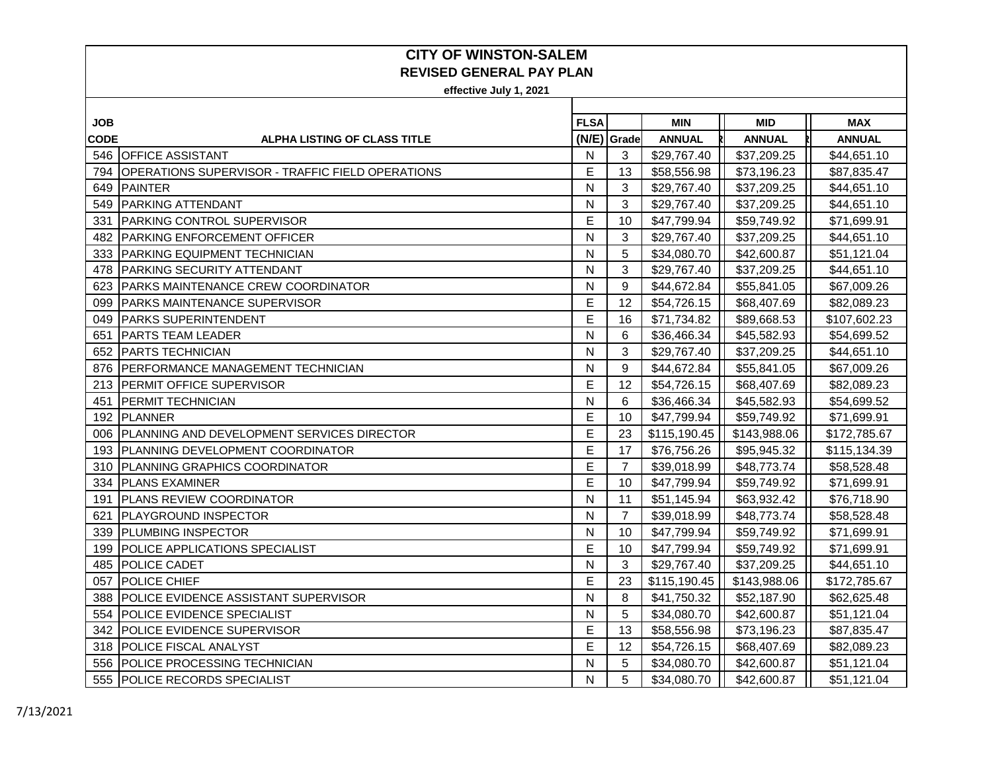| <b>JOB</b>  |                                                         | <b>FLSA</b> |                | <b>MIN</b>    | <b>MID</b>    | <b>MAX</b>    |
|-------------|---------------------------------------------------------|-------------|----------------|---------------|---------------|---------------|
| <b>CODE</b> | <b>ALPHA LISTING OF CLASS TITLE</b>                     |             | (N/E) Grade    | <b>ANNUAL</b> | <b>ANNUAL</b> | <b>ANNUAL</b> |
|             | 546 OFFICE ASSISTANT                                    | N           | 3              | \$29,767.40   | \$37,209.25   | \$44,651.10   |
| 794         | <b>OPERATIONS SUPERVISOR - TRAFFIC FIELD OPERATIONS</b> | E           | 13             | \$58,556.98   | \$73,196.23   | \$87,835.47   |
|             | 649 PAINTER                                             | N           | 3              | \$29,767.40   | \$37,209.25   | \$44,651.10   |
| 549         | <b>PARKING ATTENDANT</b>                                | N           | 3              | \$29,767.40   | \$37,209.25   | \$44,651.10   |
| 331         | <b>PARKING CONTROL SUPERVISOR</b>                       | E           | 10             | \$47,799.94   | \$59,749.92   | \$71,699.91   |
|             | 482 PARKING ENFORCEMENT OFFICER                         | N           | 3              | \$29,767.40   | \$37,209.25   | \$44,651.10   |
|             | 333 PARKING EQUIPMENT TECHNICIAN                        | N           | 5              | \$34,080.70   | \$42,600.87   | \$51,121.04   |
|             | 478   PARKING SECURITY ATTENDANT                        | N           | 3              | \$29,767.40   | \$37,209.25   | \$44,651.10   |
| 623         | <b>PARKS MAINTENANCE CREW COORDINATOR</b>               | N           | 9              | \$44,672.84   | \$55,841.05   | \$67,009.26   |
| 099         | <b>PARKS MAINTENANCE SUPERVISOR</b>                     | E           | 12             | \$54,726.15   | \$68,407.69   | \$82,089.23   |
| 049         | <b>PARKS SUPERINTENDENT</b>                             | E           | 16             | \$71,734.82   | \$89,668.53   | \$107,602.23  |
| 651         | IPARTS TEAM LEADER                                      | N           | 6              | \$36,466.34   | \$45,582.93   | \$54,699.52   |
|             | 652 PARTS TECHNICIAN                                    | N           | 3              | \$29,767.40   | \$37,209.25   | \$44,651.10   |
| 876         | <b>PERFORMANCE MANAGEMENT TECHNICIAN</b>                | N           | 9              | \$44,672.84   | \$55,841.05   | \$67,009.26   |
|             | 213 PERMIT OFFICE SUPERVISOR                            | Е           | 12             | \$54,726.15   | \$68,407.69   | \$82,089.23   |
| 451         | <b>PERMIT TECHNICIAN</b>                                | N           | 6              | \$36,466.34   | \$45,582.93   | \$54,699.52   |
| 192         | PLANNER                                                 | E           | 10             | \$47,799.94   | \$59,749.92   | \$71,699.91   |
|             | 006 PLANNING AND DEVELOPMENT SERVICES DIRECTOR          | E           | 23             | \$115,190.45  | \$143,988.06  | \$172,785.67  |
|             | 193 PLANNING DEVELOPMENT COORDINATOR                    | E           | 17             | \$76,756.26   | \$95,945.32   | \$115,134.39  |
|             | 310 PLANNING GRAPHICS COORDINATOR                       | E           | $\overline{7}$ | \$39,018.99   | \$48,773.74   | \$58,528.48   |
|             | 334 PLANS EXAMINER                                      | E           | 10             | \$47,799.94   | \$59,749.92   | \$71,699.91   |
| 191         | <b>PLANS REVIEW COORDINATOR</b>                         | N           | 11             | \$51,145.94   | \$63,932.42   | \$76,718.90   |
| 621         | <b>PLAYGROUND INSPECTOR</b>                             | N           | $\overline{7}$ | \$39,018.99   | \$48,773.74   | \$58,528.48   |
| 339         | <b>PLUMBING INSPECTOR</b>                               | N           | 10             | \$47,799.94   | \$59,749.92   | \$71,699.91   |
| 199         | <b>POLICE APPLICATIONS SPECIALIST</b>                   | E           | 10             | \$47,799.94   | \$59,749.92   | \$71,699.91   |
| 485         | <b>POLICE CADET</b>                                     | N           | 3              | \$29,767.40   | \$37,209.25   | \$44,651.10   |
| 057         | <b>POLICE CHIEF</b>                                     | E           | 23             | \$115,190.45  | \$143,988.06  | \$172,785.67  |
| 388         | <b>POLICE EVIDENCE ASSISTANT SUPERVISOR</b>             | N           | 8              | \$41,750.32   | \$52,187.90   | \$62,625.48   |
| 554         | <b>POLICE EVIDENCE SPECIALIST</b>                       | N           | 5              | \$34,080.70   | \$42,600.87   | \$51,121.04   |
| 342         | <b>POLICE EVIDENCE SUPERVISOR</b>                       | E           | 13             | \$58,556.98   | \$73,196.23   | \$87,835.47   |
| 318         | <b>POLICE FISCAL ANALYST</b>                            | E           | 12             | \$54,726.15   | \$68,407.69   | \$82,089.23   |
|             | 556 POLICE PROCESSING TECHNICIAN                        | N           | 5              | \$34,080.70   | \$42,600.87   | \$51,121.04   |
|             | 555 POLICE RECORDS SPECIALIST                           | N           | 5              | \$34,080.70   | \$42,600.87   | \$51,121.04   |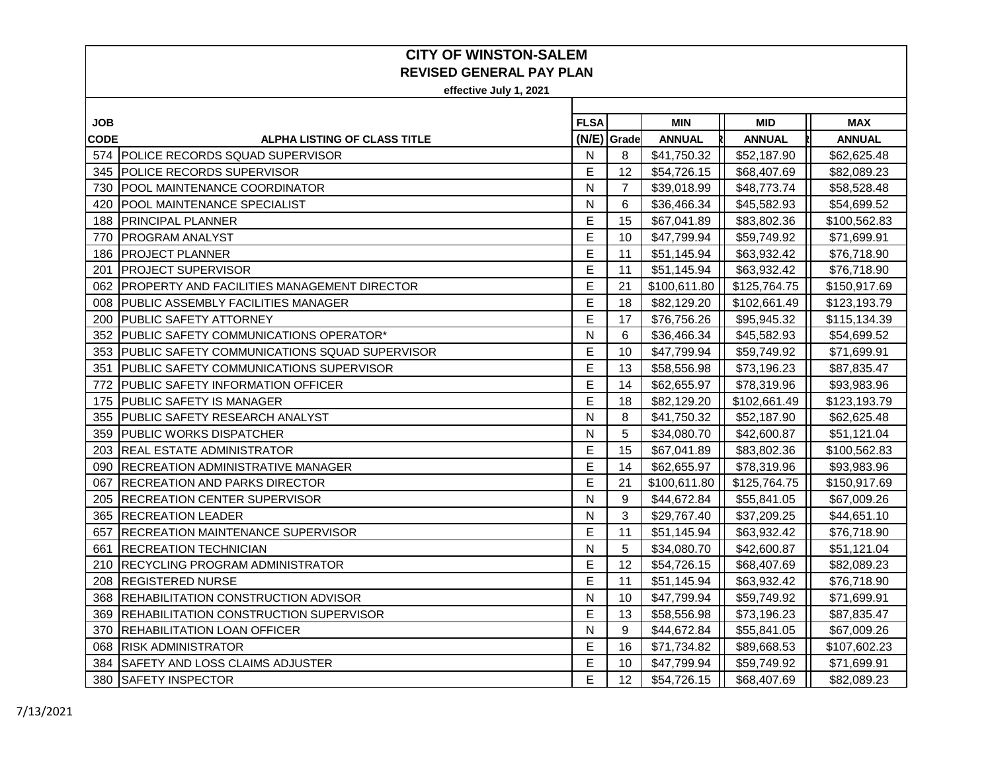| JOB         |                                                      | <b>FLSA</b> |                | <b>MIN</b>    | <b>MID</b>    | <b>MAX</b>    |
|-------------|------------------------------------------------------|-------------|----------------|---------------|---------------|---------------|
| <b>CODE</b> | <b>ALPHA LISTING OF CLASS TITLE</b>                  |             | (N/E) Grade    | <b>ANNUAL</b> | <b>ANNUAL</b> | <b>ANNUAL</b> |
|             | 574 POLICE RECORDS SQUAD SUPERVISOR                  | N           | 8              | \$41,750.32   | \$52,187.90   | \$62,625.48   |
| 345         | <b>POLICE RECORDS SUPERVISOR</b>                     | E           | 12             | \$54,726.15   | \$68,407.69   | \$82,089.23   |
| 730         | POOL MAINTENANCE COORDINATOR                         | N           | $\overline{7}$ | \$39,018.99   | \$48,773.74   | \$58,528.48   |
| 420         | POOL MAINTENANCE SPECIALIST                          | N           | 6              | \$36,466.34   | \$45,582.93   | \$54,699.52   |
| 188         | <b>PRINCIPAL PLANNER</b>                             | E           | 15             | \$67,041.89   | \$83,802.36   | \$100,562.83  |
| 770         | <b>PROGRAM ANALYST</b>                               | E           | 10             | \$47,799.94   | \$59,749.92   | \$71,699.91   |
| 186         | <b>PROJECT PLANNER</b>                               | E           | 11             | \$51,145.94   | \$63,932.42   | \$76,718.90   |
| 201         | <b>IPROJECT SUPERVISOR</b>                           | E           | 11             | \$51,145.94   | \$63,932.42   | \$76,718.90   |
| 062         | IPROPERTY AND FACILITIES MANAGEMENT DIRECTOR         | E           | 21             | \$100,611.80  | \$125,764.75  | \$150,917.69  |
| 008         | <b>PUBLIC ASSEMBLY FACILITIES MANAGER</b>            | E           | 18             | \$82,129.20   | \$102,661.49  | \$123,193.79  |
| 200         | IPUBLIC SAFETY ATTORNEY                              | E           | 17             | \$76,756.26   | \$95,945.32   | \$115,134.39  |
| 352         | PUBLIC SAFETY COMMUNICATIONS OPERATOR*               | N           | 6              | \$36,466.34   | \$45,582.93   | \$54,699.52   |
| 353         | <b>PUBLIC SAFETY COMMUNICATIONS SQUAD SUPERVISOR</b> | E           | 10             | \$47,799.94   | \$59,749.92   | \$71,699.91   |
| 351         | <b>PUBLIC SAFETY COMMUNICATIONS SUPERVISOR</b>       | E           | 13             | \$58,556.98   | \$73,196.23   | \$87,835.47   |
| 772         | <b>PUBLIC SAFETY INFORMATION OFFICER</b>             | Е           | 14             | \$62,655.97   | \$78,319.96   | \$93,983.96   |
| 175         | <b>PUBLIC SAFETY IS MANAGER</b>                      | E           | 18             | \$82,129.20   | \$102,661.49  | \$123,193.79  |
| 355         | <b>PUBLIC SAFETY RESEARCH ANALYST</b>                | N           | 8              | \$41,750.32   | \$52,187.90   | \$62,625.48   |
| 359         | <b>PUBLIC WORKS DISPATCHER</b>                       | N           | 5              | \$34,080.70   | \$42,600.87   | \$51,121.04   |
|             | 203 REAL ESTATE ADMINISTRATOR                        | E           | 15             | \$67,041.89   | \$83,802.36   | \$100,562.83  |
| 090         | <b>RECREATION ADMINISTRATIVE MANAGER</b>             | E           | 14             | \$62,655.97   | \$78,319.96   | \$93,983.96   |
| 067         | <b>RECREATION AND PARKS DIRECTOR</b>                 | E           | 21             | \$100,611.80  | \$125,764.75  | \$150,917.69  |
| 205         | <b>RECREATION CENTER SUPERVISOR</b>                  | N           | 9              | \$44,672.84   | \$55,841.05   | \$67,009.26   |
| 365         | <b>RECREATION LEADER</b>                             | N           | 3              | \$29,767.40   | \$37,209.25   | \$44,651.10   |
| 657         | <b>IRECREATION MAINTENANCE SUPERVISOR</b>            | E           | 11             | \$51,145.94   | \$63,932.42   | \$76,718.90   |
| 661         | <b>RECREATION TECHNICIAN</b>                         | N           | 5              | \$34,080.70   | \$42,600.87   | \$51,121.04   |
| 210         | <b>RECYCLING PROGRAM ADMINISTRATOR</b>               | Е           | 12             | \$54,726.15   | \$68,407.69   | \$82,089.23   |
| 208         | <b>REGISTERED NURSE</b>                              | E           | 11             | \$51,145.94   | \$63,932.42   | \$76,718.90   |
| 368         | <b>REHABILITATION CONSTRUCTION ADVISOR</b>           | N           | 10             | \$47,799.94   | \$59,749.92   | \$71,699.91   |
| 369         | <b>REHABILITATION CONSTRUCTION SUPERVISOR</b>        | E           | 13             | \$58,556.98   | \$73,196.23   | \$87,835.47   |
| 370         | REHABILITATION LOAN OFFICER                          | N           | 9              | \$44,672.84   | \$55,841.05   | \$67,009.26   |
| 068         | <b>RISK ADMINISTRATOR</b>                            | E           | 16             | \$71,734.82   | \$89,668.53   | \$107,602.23  |
| 384         | <b>SAFETY AND LOSS CLAIMS ADJUSTER</b>               | E           | 10             | \$47,799.94   | \$59,749.92   | \$71,699.91   |
|             | 380 SAFETY INSPECTOR                                 | E           | 12             | \$54,726.15   | \$68,407.69   | \$82,089.23   |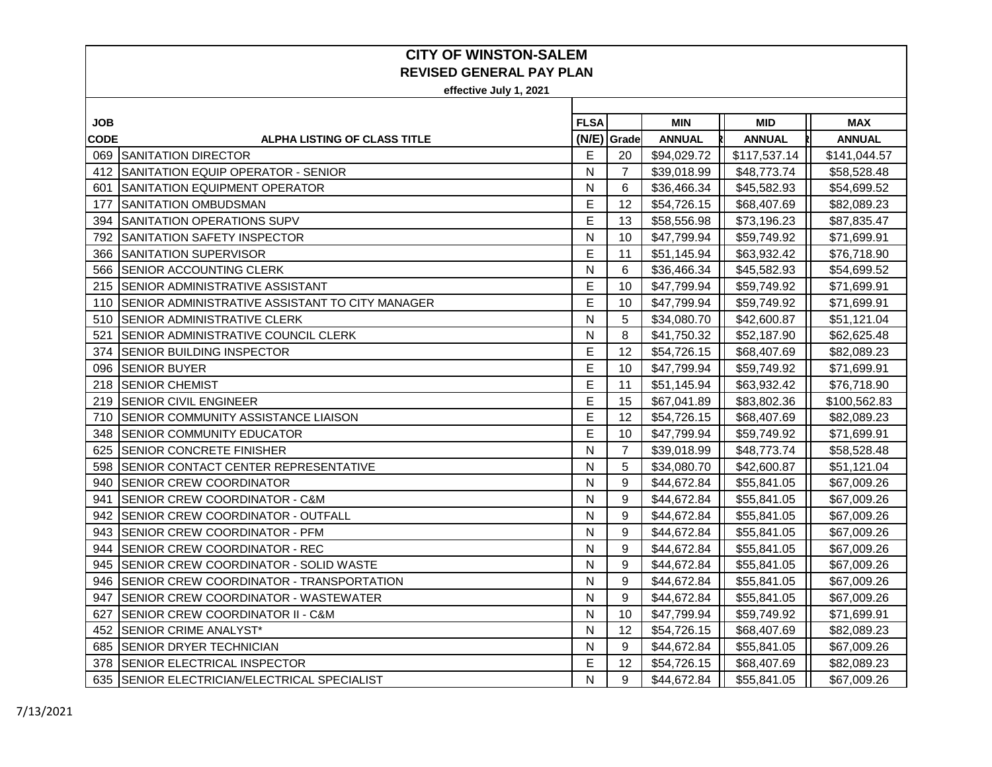| <b>JOB</b>  |                                                        | <b>FLSA</b> |                | <b>MIN</b>    | <b>MID</b>    | <b>MAX</b>    |
|-------------|--------------------------------------------------------|-------------|----------------|---------------|---------------|---------------|
| <b>CODE</b> | ALPHA LISTING OF CLASS TITLE                           |             | (N/E) Grade    | <b>ANNUAL</b> | <b>ANNUAL</b> | <b>ANNUAL</b> |
|             | 069 SANITATION DIRECTOR                                | E           | 20             | \$94,029.72   | \$117,537.14  | \$141,044.57  |
|             | 412 SANITATION EQUIP OPERATOR - SENIOR                 | N           | 7              | \$39,018.99   | \$48,773.74   | \$58,528.48   |
| 601         | SANITATION EQUIPMENT OPERATOR                          | N           | 6              | \$36,466.34   | \$45,582.93   | \$54,699.52   |
| 177         | <b>SANITATION OMBUDSMAN</b>                            | E           | 12             | \$54,726.15   | \$68,407.69   | \$82,089.23   |
| 394         | SANITATION OPERATIONS SUPV                             | E           | 13             | \$58,556.98   | \$73,196.23   | \$87,835.47   |
|             | 792 SANITATION SAFETY INSPECTOR                        | N           | 10             | \$47,799.94   | \$59,749.92   | \$71,699.91   |
|             | 366 SANITATION SUPERVISOR                              | E           | 11             | \$51,145.94   | \$63,932.42   | \$76,718.90   |
|             | 566 SENIOR ACCOUNTING CLERK                            | N           | 6              | \$36,466.34   | \$45,582.93   | \$54,699.52   |
|             | 215 SENIOR ADMINISTRATIVE ASSISTANT                    | E           | 10             | \$47,799.94   | \$59,749.92   | \$71,699.91   |
| 110         | <b>SENIOR ADMINISTRATIVE ASSISTANT TO CITY MANAGER</b> | E           | 10             | \$47,799.94   | \$59,749.92   | \$71,699.91   |
| 510         | <b>SENIOR ADMINISTRATIVE CLERK</b>                     | N           | 5              | \$34,080.70   | \$42,600.87   | \$51,121.04   |
| 521         | <b>ISENIOR ADMINISTRATIVE COUNCIL CLERK</b>            | N           | 8              | \$41,750.32   | \$52,187.90   | \$62,625.48   |
| 374         | <b>SENIOR BUILDING INSPECTOR</b>                       | Е           | 12             | \$54,726.15   | \$68,407.69   | \$82,089.23   |
| 096         | <b>SENIOR BUYER</b>                                    | Е           | 10             | \$47,799.94   | \$59,749.92   | \$71,699.91   |
|             | 218 SENIOR CHEMIST                                     | E           | 11             | \$51,145.94   | \$63,932.42   | \$76,718.90   |
|             | 219 SENIOR CIVIL ENGINEER                              | E           | 15             | \$67,041.89   | \$83,802.36   | \$100,562.83  |
| 710         | <b>ISENIOR COMMUNITY ASSISTANCE LIAISON</b>            | E           | 12             | \$54,726.15   | \$68,407.69   | \$82,089.23   |
| 348         | <b>SENIOR COMMUNITY EDUCATOR</b>                       | E           | 10             | \$47,799.94   | \$59,749.92   | \$71,699.91   |
| 625         | <b>SENIOR CONCRETE FINISHER</b>                        | N           | $\overline{7}$ | \$39,018.99   | \$48,773.74   | \$58,528.48   |
|             | 598 SENIOR CONTACT CENTER REPRESENTATIVE               | N           | 5              | \$34,080.70   | \$42,600.87   | \$51,121.04   |
| 940         | <b>SENIOR CREW COORDINATOR</b>                         | N           | 9              | \$44,672.84   | \$55,841.05   | \$67,009.26   |
| 941         | <b>SENIOR CREW COORDINATOR - C&amp;M</b>               | N           | 9              | \$44,672.84   | \$55,841.05   | \$67,009.26   |
| 942         | SENIOR CREW COORDINATOR - OUTFALL                      | N           | 9              | \$44,672.84   | \$55,841.05   | \$67,009.26   |
| 943         | <b>SENIOR CREW COORDINATOR - PFM</b>                   | N           | 9              | \$44,672.84   | \$55,841.05   | \$67,009.26   |
| 944         | <b>SENIOR CREW COORDINATOR - REC</b>                   | N           | 9              | \$44,672.84   | \$55,841.05   | \$67,009.26   |
| 945         | SENIOR CREW COORDINATOR - SOLID WASTE                  | N           | 9              | \$44,672.84   | \$55,841.05   | \$67,009.26   |
|             | 946 SENIOR CREW COORDINATOR - TRANSPORTATION           | N           | 9              | \$44,672.84   | \$55,841.05   | \$67,009.26   |
| 947         | SENIOR CREW COORDINATOR - WASTEWATER                   | N           | 9              | \$44,672.84   | \$55,841.05   | \$67,009.26   |
| 627         | <b>SENIOR CREW COORDINATOR II - C&amp;M</b>            | N           | 10             | \$47,799.94   | \$59,749.92   | \$71,699.91   |
| 452         | SENIOR CRIME ANALYST*                                  | N           | 12             | \$54,726.15   | \$68,407.69   | \$82,089.23   |
|             | 685 SENIOR DRYER TECHNICIAN                            | N           | 9              | \$44,672.84   | \$55,841.05   | \$67,009.26   |
|             | 378 SENIOR ELECTRICAL INSPECTOR                        | E           | 12             | \$54,726.15   | \$68,407.69   | \$82,089.23   |
|             | 635 SENIOR ELECTRICIAN/ELECTRICAL SPECIALIST           | N           | 9              | \$44,672.84   | \$55,841.05   | \$67,009.26   |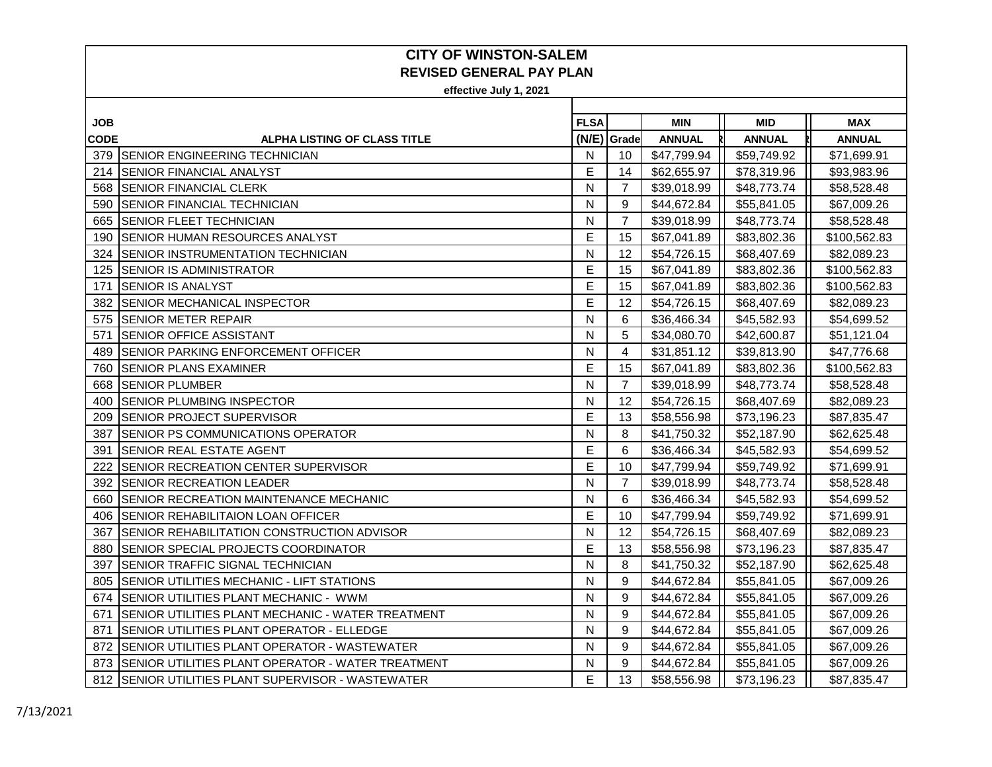| JOB.        |                                                     | <b>FLSA</b> |                | <b>MIN</b>    | <b>MID</b>    | <b>MAX</b>    |
|-------------|-----------------------------------------------------|-------------|----------------|---------------|---------------|---------------|
| <b>CODE</b> | <b>ALPHA LISTING OF CLASS TITLE</b>                 |             | (N/E) Grade    | <b>ANNUAL</b> | <b>ANNUAL</b> | <b>ANNUAL</b> |
|             | 379 ISENIOR ENGINEERING TECHNICIAN                  | N           | 10             | \$47,799.94   | \$59,749.92   | \$71,699.91   |
| 214         | <b>ISENIOR FINANCIAL ANALYST</b>                    | E           | 14             | \$62,655.97   | \$78,319.96   | \$93,983.96   |
| 568         | <b>SENIOR FINANCIAL CLERK</b>                       | N           | $\overline{7}$ | \$39,018.99   | \$48,773.74   | \$58,528.48   |
| 590         | <b>SENIOR FINANCIAL TECHNICIAN</b>                  | N           | 9              | \$44,672.84   | \$55,841.05   | \$67,009.26   |
| 665         | <b>SENIOR FLEET TECHNICIAN</b>                      | N           | $\overline{7}$ | \$39,018.99   | \$48,773.74   | \$58,528.48   |
| 190         | <b>SENIOR HUMAN RESOURCES ANALYST</b>               | E           | 15             | \$67,041.89   | \$83,802.36   | \$100,562.83  |
| 324         | <b>SENIOR INSTRUMENTATION TECHNICIAN</b>            | N           | 12             | \$54,726.15   | \$68,407.69   | \$82,089.23   |
| 125         | <b>SENIOR IS ADMINISTRATOR</b>                      | E           | 15             | \$67,041.89   | \$83,802.36   | \$100,562.83  |
| 171         | <b>SENIOR IS ANALYST</b>                            | E           | 15             | \$67,041.89   | \$83,802.36   | \$100,562.83  |
| 382         | <b>SENIOR MECHANICAL INSPECTOR</b>                  | E           | 12             | \$54,726.15   | \$68,407.69   | \$82,089.23   |
| 575         | <b>SENIOR METER REPAIR</b>                          | N           | 6              | \$36,466.34   | \$45,582.93   | \$54,699.52   |
| 571         | <b>SENIOR OFFICE ASSISTANT</b>                      | N           | 5              | \$34,080.70   | \$42,600.87   | \$51,121.04   |
| 489         | <b>ISENIOR PARKING ENFORCEMENT OFFICER</b>          | N           | 4              | \$31,851.12   | \$39,813.90   | \$47,776.68   |
| 760         | <b>SENIOR PLANS EXAMINER</b>                        | Е           | 15             | \$67,041.89   | \$83,802.36   | \$100,562.83  |
| 668         | <b>SENIOR PLUMBER</b>                               | N           | $\overline{7}$ | \$39,018.99   | \$48,773.74   | \$58,528.48   |
| 400         | <b>SENIOR PLUMBING INSPECTOR</b>                    | N           | 12             | \$54,726.15   | \$68,407.69   | \$82,089.23   |
| 209         | <b>SENIOR PROJECT SUPERVISOR</b>                    | E           | 13             | \$58,556.98   | \$73,196.23   | \$87,835.47   |
| 387         | <b>SENIOR PS COMMUNICATIONS OPERATOR</b>            | N           | 8              | \$41,750.32   | \$52,187.90   | \$62,625.48   |
| 391         | ISENIOR REAL ESTATE AGENT                           | E           | 6              | \$36,466.34   | \$45,582.93   | \$54,699.52   |
| 222         | <b>SENIOR RECREATION CENTER SUPERVISOR</b>          | E           | 10             | \$47,799.94   | \$59,749.92   | \$71,699.91   |
| 392         | <b>ISENIOR RECREATION LEADER</b>                    | N           | 7              | \$39,018.99   | \$48,773.74   | \$58,528.48   |
| 660         | <b>SENIOR RECREATION MAINTENANCE MECHANIC</b>       | N           | 6              | \$36,466.34   | \$45,582.93   | \$54,699.52   |
| 406         | <b>SENIOR REHABILITAION LOAN OFFICER</b>            | E           | 10             | \$47,799.94   | \$59,749.92   | \$71,699.91   |
| 367         | <b>SENIOR REHABILITATION CONSTRUCTION ADVISOR</b>   | N           | 12             | \$54,726.15   | \$68,407.69   | \$82,089.23   |
| 880         | ISENIOR SPECIAL PROJECTS COORDINATOR                | E           | 13             | \$58,556.98   | \$73,196.23   | \$87,835.47   |
| 397         | <b>SENIOR TRAFFIC SIGNAL TECHNICIAN</b>             | N           | 8              | \$41,750.32   | \$52,187.90   | \$62,625.48   |
| 805         | <b>SENIOR UTILITIES MECHANIC - LIFT STATIONS</b>    | N           | 9              | \$44,672.84   | \$55,841.05   | \$67,009.26   |
| 674         | ISENIOR UTILITIES PLANT MECHANIC - WWM              | N           | 9              | \$44,672.84   | \$55,841.05   | \$67,009.26   |
| 671         | SENIOR UTILITIES PLANT MECHANIC - WATER TREATMENT   | N           | 9              | \$44,672.84   | \$55,841.05   | \$67,009.26   |
| 871         | SENIOR UTILITIES PLANT OPERATOR - ELLEDGE           | N           | 9              | \$44,672.84   | \$55,841.05   | \$67,009.26   |
| 872         | SENIOR UTILITIES PLANT OPERATOR - WASTEWATER        | N           | 9              | \$44,672.84   | \$55,841.05   | \$67,009.26   |
| 873         | ISENIOR UTILITIES PLANT OPERATOR - WATER TREATMENT  | N           | 9              | \$44,672.84   | \$55,841.05   | \$67,009.26   |
|             | 812 ISENIOR UTILITIES PLANT SUPERVISOR - WASTEWATER | E           | 13             | \$58,556.98   | \$73,196.23   | \$87,835.47   |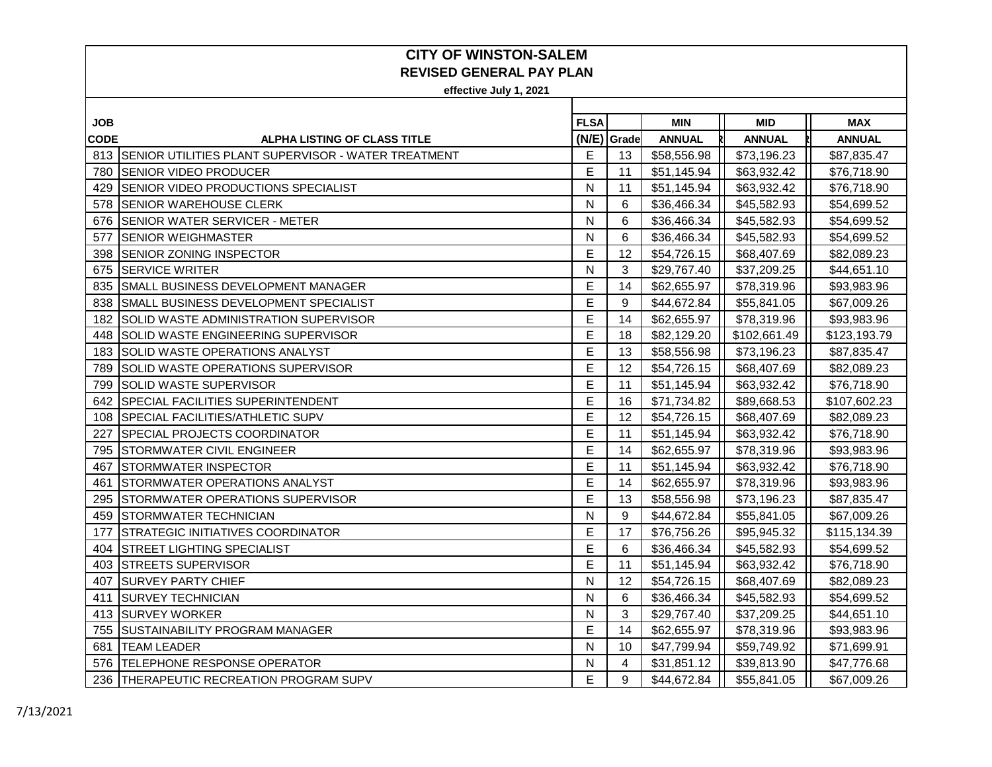| JOB         |                                                         | <b>FLSA</b> |             | MIN           | <b>MID</b>    | <b>MAX</b>    |
|-------------|---------------------------------------------------------|-------------|-------------|---------------|---------------|---------------|
| <b>CODE</b> | <b>ALPHA LISTING OF CLASS TITLE</b>                     |             | (N/E) Grade | <b>ANNUAL</b> | <b>ANNUAL</b> | <b>ANNUAL</b> |
|             | 813 SENIOR UTILITIES PLANT SUPERVISOR - WATER TREATMENT | Е           | 13          | \$58,556.98   | \$73,196.23   | \$87,835.47   |
| 780         | <b>SENIOR VIDEO PRODUCER</b>                            | E           | 11          | \$51,145.94   | \$63,932.42   | \$76,718.90   |
| 429         | <b>SENIOR VIDEO PRODUCTIONS SPECIALIST</b>              | N           | 11          | \$51,145.94   | \$63,932.42   | \$76,718.90   |
| 578         | <b>SENIOR WAREHOUSE CLERK</b>                           | N           | 6           | \$36,466.34   | \$45,582.93   | \$54,699.52   |
| 676         | <b>SENIOR WATER SERVICER - METER</b>                    | N           | 6           | \$36,466.34   | \$45,582.93   | \$54,699.52   |
| 577         | <b>SENIOR WEIGHMASTER</b>                               | N           | 6           | \$36,466.34   | \$45,582.93   | \$54,699.52   |
| 398         | <b>SENIOR ZONING INSPECTOR</b>                          | Е           | 12          | \$54,726.15   | \$68,407.69   | \$82,089.23   |
| 675         | <b>SERVICE WRITER</b>                                   | N           | 3           | \$29,767.40   | \$37,209.25   | \$44,651.10   |
| 835         | <b>SMALL BUSINESS DEVELOPMENT MANAGER</b>               | Е           | 14          | \$62,655.97   | \$78,319.96   | \$93,983.96   |
| 838         | SMALL BUSINESS DEVELOPMENT SPECIALIST                   | E           | 9           | \$44,672.84   | \$55,841.05   | \$67,009.26   |
| 182         | SOLID WASTE ADMINISTRATION SUPERVISOR                   | E           | 14          | \$62,655.97   | \$78,319.96   | \$93,983.96   |
| 448         | SOLID WASTE ENGINEERING SUPERVISOR                      | E           | 18          | \$82,129.20   | \$102,661.49  | \$123,193.79  |
| 183         | <b>SOLID WASTE OPERATIONS ANALYST</b>                   | E           | 13          | \$58,556.98   | \$73,196.23   | \$87,835.47   |
| 789         | SOLID WASTE OPERATIONS SUPERVISOR                       | E           | 12          | \$54,726.15   | \$68,407.69   | \$82,089.23   |
| 799         | SOLID WASTE SUPERVISOR                                  | Е           | 11          | \$51,145.94   | \$63,932.42   | \$76,718.90   |
| 642         | <b>SPECIAL FACILITIES SUPERINTENDENT</b>                | E           | 16          | \$71,734.82   | \$89,668.53   | \$107,602.23  |
| 108         | <b>SPECIAL FACILITIES/ATHLETIC SUPV</b>                 | E           | 12          | \$54,726.15   | \$68,407.69   | \$82,089.23   |
| 227         | <b>SPECIAL PROJECTS COORDINATOR</b>                     | E           | 11          | \$51,145.94   | \$63,932.42   | \$76,718.90   |
| 795         | <b>STORMWATER CIVIL ENGINEER</b>                        | E           | 14          | \$62,655.97   | \$78,319.96   | \$93,983.96   |
| 467         | <b>STORMWATER INSPECTOR</b>                             | E           | 11          | \$51,145.94   | \$63,932.42   | \$76,718.90   |
| 461         | <b>STORMWATER OPERATIONS ANALYST</b>                    | Е           | 14          | \$62,655.97   | \$78,319.96   | \$93,983.96   |
| 295         | <b>STORMWATER OPERATIONS SUPERVISOR</b>                 | E           | 13          | \$58,556.98   | \$73,196.23   | \$87,835.47   |
| 459         | <b>STORMWATER TECHNICIAN</b>                            | N           | 9           | \$44,672.84   | \$55,841.05   | \$67,009.26   |
| 177         | STRATEGIC INITIATIVES COORDINATOR                       | E           | 17          | \$76,756.26   | \$95,945.32   | \$115,134.39  |
| 404         | <b>STREET LIGHTING SPECIALIST</b>                       | E           | 6           | \$36,466.34   | \$45,582.93   | \$54,699.52   |
| 403         | <b>STREETS SUPERVISOR</b>                               | Е           | 11          | \$51,145.94   | \$63,932.42   | \$76,718.90   |
| 407         | <b>SURVEY PARTY CHIEF</b>                               | N           | 12          | \$54,726.15   | \$68,407.69   | \$82,089.23   |
| 411         | <b>SURVEY TECHNICIAN</b>                                | N           | 6           | \$36,466.34   | \$45,582.93   | \$54,699.52   |
| 413         | <b>SURVEY WORKER</b>                                    | N           | 3           | \$29,767.40   | \$37,209.25   | \$44,651.10   |
| 755         | <b>SUSTAINABILITY PROGRAM MANAGER</b>                   | E           | 14          | \$62,655.97   | \$78,319.96   | \$93,983.96   |
| 681         | <b>TEAM LEADER</b>                                      | N           | 10          | \$47,799.94   | \$59,749.92   | \$71,699.91   |
|             | 576   TELEPHONE RESPONSE OPERATOR                       | N           | 4           | \$31,851.12   | \$39,813.90   | \$47,776.68   |
| 236         | <b>THERAPEUTIC RECREATION PROGRAM SUPV</b>              | E           | 9           | \$44,672.84   | \$55,841.05   | \$67,009.26   |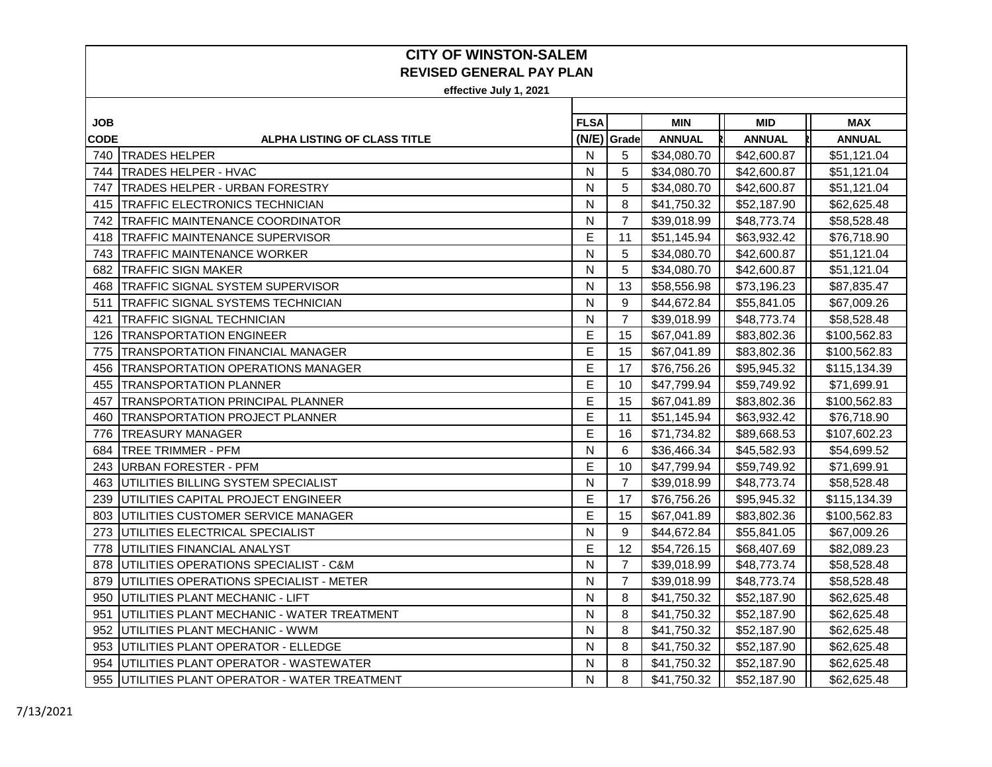| <b>JOB</b>  |                                                   | <b>FLSA</b> |                | <b>MIN</b>    | <b>MID</b>    | <b>MAX</b>    |
|-------------|---------------------------------------------------|-------------|----------------|---------------|---------------|---------------|
| <b>CODE</b> | <b>ALPHA LISTING OF CLASS TITLE</b>               |             | (N/E) Grade    | <b>ANNUAL</b> | <b>ANNUAL</b> | <b>ANNUAL</b> |
| 740         | <b>TRADES HELPER</b>                              | N           | 5              | \$34,080.70   | \$42,600.87   | \$51,121.04   |
| 744         | <b>TRADES HELPER - HVAC</b>                       | N           | 5              | \$34,080.70   | \$42,600.87   | \$51,121.04   |
| 747         | <b>TRADES HELPER - URBAN FORESTRY</b>             | N           | 5              | \$34,080.70   | \$42,600.87   | \$51,121.04   |
| 415         | <b>TRAFFIC ELECTRONICS TECHNICIAN</b>             | N           | 8              | \$41,750.32   | \$52,187.90   | \$62,625.48   |
| 742         | <b>TRAFFIC MAINTENANCE COORDINATOR</b>            | N           | $\overline{7}$ | \$39,018.99   | \$48,773.74   | \$58,528.48   |
| 418         | <b>TRAFFIC MAINTENANCE SUPERVISOR</b>             | E           | 11             | \$51,145.94   | \$63,932.42   | \$76,718.90   |
| 743         | <b>TRAFFIC MAINTENANCE WORKER</b>                 | N           | 5              | \$34,080.70   | \$42,600.87   | \$51,121.04   |
| 682         | <b>TRAFFIC SIGN MAKER</b>                         | N           | 5              | \$34,080.70   | \$42,600.87   | \$51,121.04   |
| 468         | <b>TRAFFIC SIGNAL SYSTEM SUPERVISOR</b>           | N           | 13             | \$58,556.98   | \$73,196.23   | \$87,835.47   |
| 511         | ITRAFFIC SIGNAL SYSTEMS TECHNICIAN                | N           | 9              | \$44,672.84   | \$55,841.05   | \$67,009.26   |
| 421         | <b>TRAFFIC SIGNAL TECHNICIAN</b>                  | N           | $\overline{7}$ | \$39,018.99   | \$48,773.74   | \$58,528.48   |
| 126         | <b>TRANSPORTATION ENGINEER</b>                    | E           | 15             | \$67,041.89   | \$83,802.36   | \$100,562.83  |
| 775         | <b>TRANSPORTATION FINANCIAL MANAGER</b>           | E           | 15             | \$67,041.89   | \$83,802.36   | \$100,562.83  |
| 456         | TRANSPORTATION OPERATIONS MANAGER                 | E           | 17             | \$76,756.26   | \$95,945.32   | \$115,134.39  |
| 455         | <b>ITRANSPORTATION PLANNER</b>                    | E           | 10             | \$47,799.94   | \$59,749.92   | \$71,699.91   |
| 457         | <b>TRANSPORTATION PRINCIPAL PLANNER</b>           | Е           | 15             | \$67,041.89   | \$83,802.36   | \$100,562.83  |
| 460         | <b>TRANSPORTATION PROJECT PLANNER</b>             | E           | 11             | \$51,145.94   | \$63,932.42   | \$76,718.90   |
| 776         | <b>TREASURY MANAGER</b>                           | E           | 16             | \$71,734.82   | \$89,668.53   | \$107,602.23  |
| 684         | <b>TREE TRIMMER - PFM</b>                         | N           | 6              | \$36,466.34   | \$45,582.93   | \$54,699.52   |
| 243         | <b>IURBAN FORESTER - PFM</b>                      | E           | 10             | \$47,799.94   | \$59,749.92   | \$71,699.91   |
| 463         | UTILITIES BILLING SYSTEM SPECIALIST               | N           | $\overline{7}$ | \$39,018.99   | \$48,773.74   | \$58,528.48   |
| 239         | <b>IUTILITIES CAPITAL PROJECT ENGINEER</b>        | E           | 17             | \$76,756.26   | \$95,945.32   | \$115,134.39  |
| 803         | UTILITIES CUSTOMER SERVICE MANAGER                | E           | 15             | \$67,041.89   | \$83,802.36   | \$100,562.83  |
| 273         | UTILITIES ELECTRICAL SPECIALIST                   | N           | 9              | \$44,672.84   | \$55,841.05   | \$67,009.26   |
| 778         | IUTILITIES FINANCIAL ANALYST                      | E           | 12             | \$54,726.15   | \$68,407.69   | \$82,089.23   |
| 878         | <b>JUTILITIES OPERATIONS SPECIALIST - C&amp;M</b> | N           | $\overline{7}$ | \$39,018.99   | \$48,773.74   | \$58,528.48   |
| 879         | <b>IUTILITIES OPERATIONS SPECIALIST - METER</b>   | N           | 7              | \$39,018.99   | \$48,773.74   | \$58,528.48   |
| 950         | UTILITIES PLANT MECHANIC - LIFT                   | N           | 8              | \$41,750.32   | \$52,187.90   | \$62,625.48   |
| 951         | UTILITIES PLANT MECHANIC - WATER TREATMENT        | N           | 8              | \$41,750.32   | \$52,187.90   | \$62,625.48   |
| 952         | UTILITIES PLANT MECHANIC - WWM                    | N           | 8              | \$41,750.32   | \$52,187.90   | \$62,625.48   |
| 953         | UTILITIES PLANT OPERATOR - ELLEDGE                | N           | 8              | \$41,750.32   | \$52,187.90   | \$62,625.48   |
| 954         | UTILITIES PLANT OPERATOR - WASTEWATER             | N           | 8              | \$41,750.32   | \$52,187.90   | \$62,625.48   |
|             | 955 UTILITIES PLANT OPERATOR - WATER TREATMENT    | N           | 8              | \$41,750.32   | \$52,187.90   | \$62,625.48   |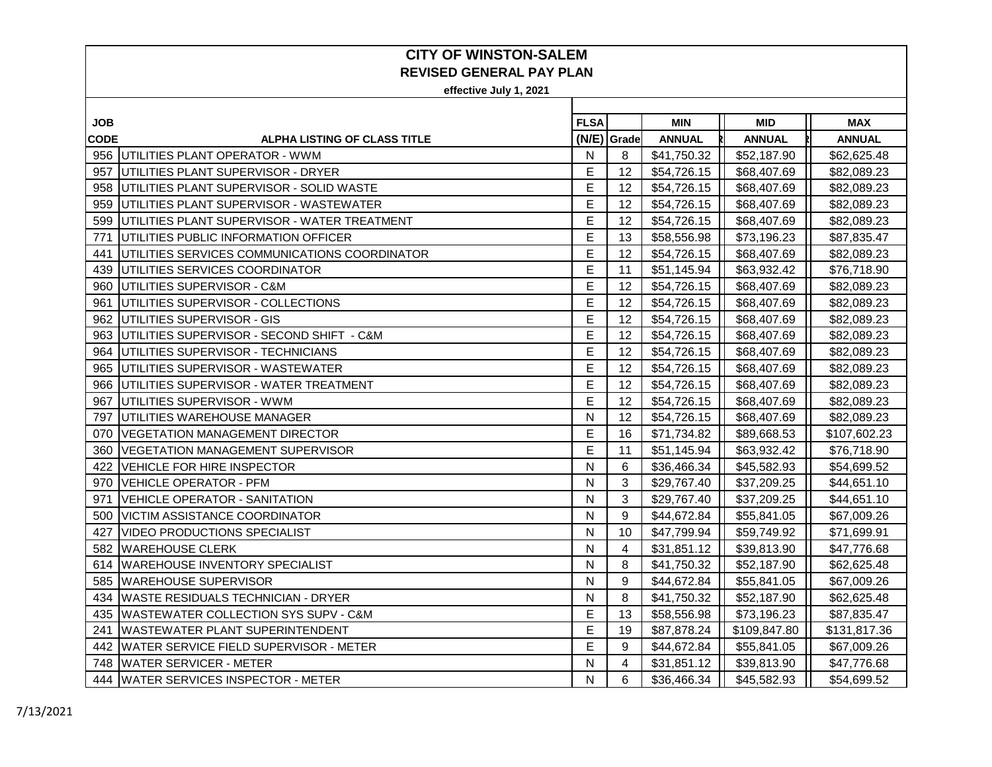| JOB. |                                                 | <b>FLSA</b> |             | <b>MIN</b>    | <b>MID</b>    | <b>MAX</b>    |
|------|-------------------------------------------------|-------------|-------------|---------------|---------------|---------------|
| CODE | <b>ALPHA LISTING OF CLASS TITLE</b>             |             | (N/E) Grade | <b>ANNUAL</b> | <b>ANNUAL</b> | <b>ANNUAL</b> |
|      | 956 UTILITIES PLANT OPERATOR - WWM              | N           | 8           | \$41,750.32   | \$52,187.90   | \$62,625.48   |
| 957  | UTILITIES PLANT SUPERVISOR - DRYER              | Е           | 12          | \$54,726.15   | \$68,407.69   | \$82,089.23   |
| 958  | UTILITIES PLANT SUPERVISOR - SOLID WASTE        | Е           | 12          | \$54,726.15   | \$68,407.69   | \$82,089.23   |
| 959  | UTILITIES PLANT SUPERVISOR - WASTEWATER         | E           | 12          | \$54,726.15   | \$68,407.69   | \$82,089.23   |
| 599  | UTILITIES PLANT SUPERVISOR - WATER TREATMENT    | E           | 12          | \$54,726.15   | \$68,407.69   | \$82,089.23   |
| 771  | UTILITIES PUBLIC INFORMATION OFFICER            | E           | 13          | \$58,556.98   | \$73,196.23   | \$87,835.47   |
| 441  | IUTILITIES SERVICES COMMUNICATIONS COORDINATOR  | E           | 12          | \$54,726.15   | \$68,407.69   | \$82,089.23   |
| 439  | UTILITIES SERVICES COORDINATOR                  | E           | 11          | \$51,145.94   | \$63,932.42   | \$76,718.90   |
| 960  | UTILITIES SUPERVISOR - C&M                      | E           | 12          | \$54,726.15   | \$68,407.69   | \$82,089.23   |
| 961  | UTILITIES SUPERVISOR - COLLECTIONS              | E           | 12          | \$54,726.15   | \$68,407.69   | \$82,089.23   |
| 962  | UTILITIES SUPERVISOR - GIS                      | E           | 12          | \$54,726.15   | \$68,407.69   | \$82,089.23   |
| 963  | UTILITIES SUPERVISOR - SECOND SHIFT - C&M       | E           | 12          | \$54,726.15   | \$68,407.69   | \$82,089.23   |
| 964  | UTILITIES SUPERVISOR - TECHNICIANS              | E           | 12          | \$54,726.15   | \$68,407.69   | \$82,089.23   |
| 965  | UTILITIES SUPERVISOR - WASTEWATER               | E           | 12          | \$54,726.15   | \$68,407.69   | \$82,089.23   |
| 966  | UTILITIES SUPERVISOR - WATER TREATMENT          | Е           | 12          | \$54,726.15   | \$68,407.69   | \$82,089.23   |
| 967  | UTILITIES SUPERVISOR - WWM                      | E           | 12          | \$54,726.15   | \$68,407.69   | \$82,089.23   |
| 797  | UTILITIES WAREHOUSE MANAGER                     | N           | 12          | \$54,726.15   | \$68,407.69   | \$82,089.23   |
| 070  | <b>VEGETATION MANAGEMENT DIRECTOR</b>           | E           | 16          | \$71,734.82   | \$89,668.53   | \$107,602.23  |
| 360  | IVEGETATION MANAGEMENT SUPERVISOR               | E           | 11          | \$51,145.94   | \$63,932.42   | \$76,718.90   |
| 422  | <b>VEHICLE FOR HIRE INSPECTOR</b>               | N           | 6           | \$36,466.34   | \$45,582.93   | \$54,699.52   |
| 970  | <b>VEHICLE OPERATOR - PFM</b>                   | N           | 3           | \$29,767.40   | \$37,209.25   | \$44,651.10   |
| 971  | VEHICLE OPERATOR - SANITATION                   | N           | 3           | \$29,767.40   | \$37,209.25   | \$44,651.10   |
| 500  | <b>VICTIM ASSISTANCE COORDINATOR</b>            | N           | 9           | \$44,672.84   | \$55,841.05   | \$67,009.26   |
| 427  | VIDEO PRODUCTIONS SPECIALIST                    | N           | 10          | \$47,799.94   | \$59,749.92   | \$71,699.91   |
| 582  | <b>WAREHOUSE CLERK</b>                          | N           | 4           | \$31,851.12   | \$39,813.90   | \$47,776.68   |
| 614  | <b>WAREHOUSE INVENTORY SPECIALIST</b>           | N           | 8           | \$41,750.32   | \$52,187.90   | \$62,625.48   |
| 585  | <b>WAREHOUSE SUPERVISOR</b>                     | N           | 9           | \$44,672.84   | \$55,841.05   | \$67,009.26   |
| 434  | <b>WASTE RESIDUALS TECHNICIAN - DRYER</b>       | N           | 8           | \$41,750.32   | \$52,187.90   | \$62,625.48   |
| 435  | <b>WASTEWATER COLLECTION SYS SUPV - C&amp;M</b> | E           | 13          | \$58,556.98   | \$73,196.23   | \$87,835.47   |
| 241  | <b>WASTEWATER PLANT SUPERINTENDENT</b>          | E           | 19          | \$87,878.24   | \$109,847.80  | \$131,817.36  |
| 442  | <b>WATER SERVICE FIELD SUPERVISOR - METER</b>   | E           | 9           | \$44,672.84   | \$55,841.05   | \$67,009.26   |
| 748  | <b>WATER SERVICER - METER</b>                   | N           | 4           | \$31,851.12   | \$39,813.90   | \$47,776.68   |
|      | 444 WATER SERVICES INSPECTOR - METER            | N           | 6           | \$36,466.34   | \$45,582.93   | \$54,699.52   |